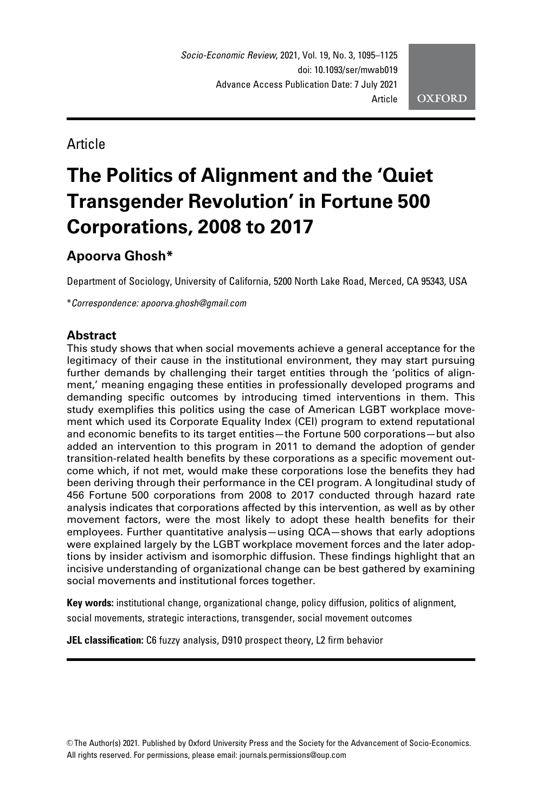Article

# The Politics of Alignment and the 'Quiet Transgender Revolution' in Fortune 500 Corporations, 2008 to 2017

# Apoorva Ghosh\*

Department of Sociology, University of California, 5200 North Lake Road, Merced, CA 95343, USA

\**Correspondence: apoorva.ghosh@gmail.com*

# **Abstract**

This study shows that when social movements achieve a general acceptance for the legitimacy of their cause in the institutional environment, they may start pursuing further demands by challenging their target entities through the 'politics of alignment,' meaning engaging these entities in professionally developed programs and demanding specific outcomes by introducing timed interventions in them. This study exemplifies this politics using the case of American LGBT workplace movement which used its Corporate Equality Index (CEI) program to extend reputational and economic benefits to its target entities—the Fortune 500 corporations—but also added an intervention to this program in 2011 to demand the adoption of gender transition-related health benefits by these corporations as a specific movement outcome which, if not met, would make these corporations lose the benefits they had been deriving through their performance in the CEI program. A longitudinal study of 456 Fortune 500 corporations from 2008 to 2017 conducted through hazard rate analysis indicates that corporations affected by this intervention, as well as by other movement factors, were the most likely to adopt these health benefits for their employees. Further quantitative analysis—using QCA—shows that early adoptions were explained largely by the LGBT workplace movement forces and the later adoptions by insider activism and isomorphic diffusion. These findings highlight that an incisive understanding of organizational change can be best gathered by examining social movements and institutional forces together.

Key words: institutional change, organizational change, policy diffusion, politics of alignment, social movements, strategic interactions, transgender, social movement outcomes

JEL classification: C6 fuzzy analysis, D910 prospect theory, L2 firm behavior

V<sup>C</sup> The Author(s) 2021. Published by Oxford University Press and the Society for the Advancement of Socio-Economics. All rights reserved. For permissions, please email: journals.permissions@oup.com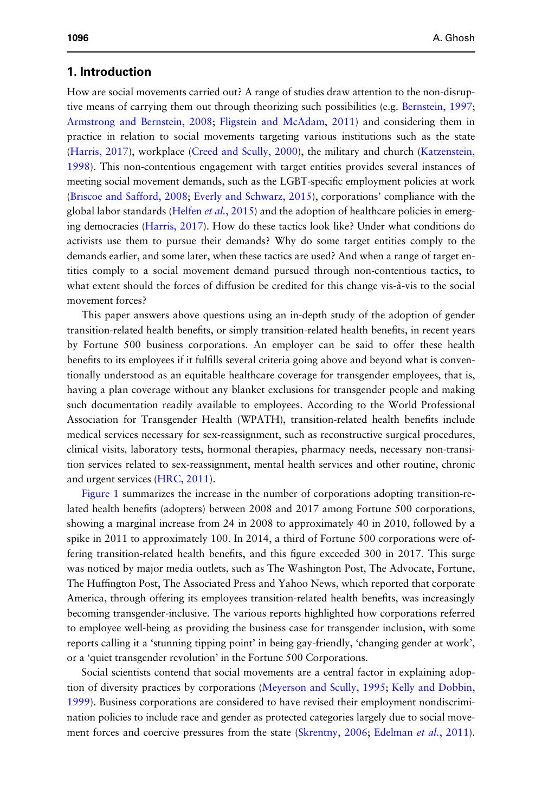# 1. Introduction

How are social movements carried out? A range of studies draw attention to the non-disruptive means of carrying them out through theorizing such possibilities (e.g. Bernstein, 1997; Armstrong and Bernstein, 2008; Fligstein and McAdam, 2011) and considering them in practice in relation to social movements targeting various institutions such as the state (Harris, 2017), workplace (Creed and Scully, 2000), the military and church (Katzenstein, 1998). This non-contentious engagement with target entities provides several instances of meeting social movement demands, such as the LGBT-specific employment policies at work (Briscoe and Safford, 2008; Everly and Schwarz, 2015), corporations' compliance with the global labor standards (Helfen *et al.*, 2015) and the adoption of healthcare policies in emerging democracies (Harris, 2017). How do these tactics look like? Under what conditions do activists use them to pursue their demands? Why do some target entities comply to the demands earlier, and some later, when these tactics are used? And when a range of target entities comply to a social movement demand pursued through non-contentious tactics, to what extent should the forces of diffusion be credited for this change vis-à-vis to the social movement forces?

This paper answers above questions using an in-depth study of the adoption of gender transition-related health benefits, or simply transition-related health benefits, in recent years by Fortune 500 business corporations. An employer can be said to offer these health benefits to its employees if it fulfills several criteria going above and beyond what is conventionally understood as an equitable healthcare coverage for transgender employees, that is, having a plan coverage without any blanket exclusions for transgender people and making such documentation readily available to employees. According to the World Professional Association for Transgender Health (WPATH), transition-related health benefits include medical services necessary for sex-reassignment, such as reconstructive surgical procedures, clinical visits, laboratory tests, hormonal therapies, pharmacy needs, necessary non-transition services related to sex-reassignment, mental health services and other routine, chronic and urgent services (HRC, 2011).

Figure 1 summarizes the increase in the number of corporations adopting transition-related health benefits (adopters) between 2008 and 2017 among Fortune 500 corporations, showing a marginal increase from 24 in 2008 to approximately 40 in 2010, followed by a spike in 2011 to approximately 100. In 2014, a third of Fortune 500 corporations were offering transition-related health benefits, and this figure exceeded 300 in 2017. This surge was noticed by major media outlets, such as The Washington Post, The Advocate, Fortune, The Huffington Post, The Associated Press and Yahoo News, which reported that corporate America, through offering its employees transition-related health benefits, was increasingly becoming transgender-inclusive. The various reports highlighted how corporations referred to employee well-being as providing the business case for transgender inclusion, with some reports calling it a 'stunning tipping point' in being gay-friendly, 'changing gender at work', or a 'quiet transgender revolution' in the Fortune 500 Corporations.

Social scientists contend that social movements are a central factor in explaining adoption of diversity practices by corporations (Meyerson and Scully, 1995; Kelly and Dobbin, 1999). Business corporations are considered to have revised their employment nondiscrimination policies to include race and gender as protected categories largely due to social movement forces and coercive pressures from the state (Skrentny, 2006; Edelman *et al.*, 2011).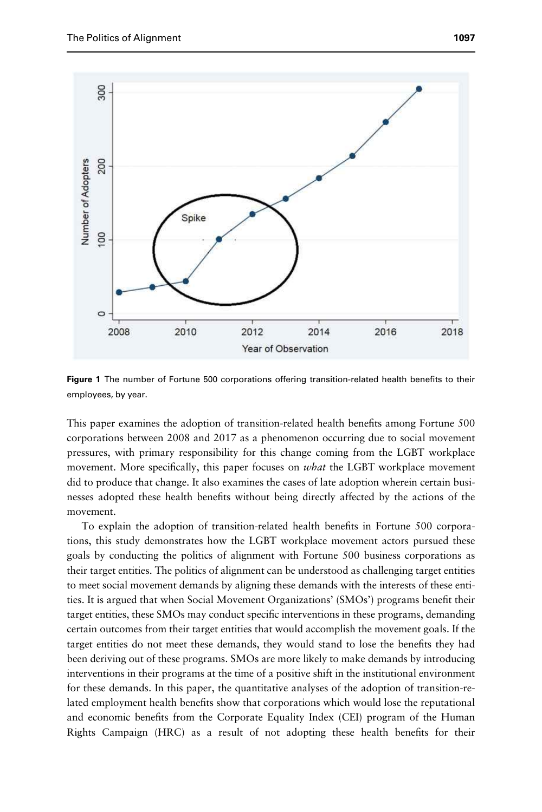

Figure 1 The number of Fortune 500 corporations offering transition-related health benefits to their employees, by year.

This paper examines the adoption of transition-related health benefits among Fortune 500 corporations between 2008 and 2017 as a phenomenon occurring due to social movement pressures, with primary responsibility for this change coming from the LGBT workplace movement. More specifically, this paper focuses on *what* the LGBT workplace movement did to produce that change. It also examines the cases of late adoption wherein certain businesses adopted these health benefits without being directly affected by the actions of the movement.

To explain the adoption of transition-related health benefits in Fortune 500 corporations, this study demonstrates how the LGBT workplace movement actors pursued these goals by conducting the politics of alignment with Fortune 500 business corporations as their target entities. The politics of alignment can be understood as challenging target entities to meet social movement demands by aligning these demands with the interests of these entities. It is argued that when Social Movement Organizations' (SMOs') programs benefit their target entities, these SMOs may conduct specific interventions in these programs, demanding certain outcomes from their target entities that would accomplish the movement goals. If the target entities do not meet these demands, they would stand to lose the benefits they had been deriving out of these programs. SMOs are more likely to make demands by introducing interventions in their programs at the time of a positive shift in the institutional environment for these demands. In this paper, the quantitative analyses of the adoption of transition-related employment health benefits show that corporations which would lose the reputational and economic benefits from the Corporate Equality Index (CEI) program of the Human Rights Campaign (HRC) as a result of not adopting these health benefits for their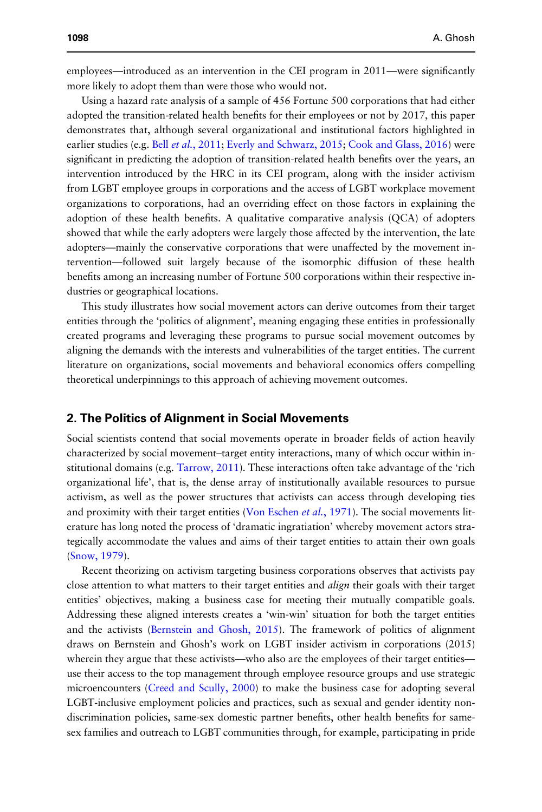employees—introduced as an intervention in the CEI program in 2011—were significantly more likely to adopt them than were those who would not.

Using a hazard rate analysis of a sample of 456 Fortune 500 corporations that had either adopted the transition-related health benefits for their employees or not by 2017, this paper demonstrates that, although several organizational and institutional factors highlighted in earlier studies (e.g. Bell *et al.*, 2011; Everly and Schwarz, 2015; Cook and Glass, 2016) were significant in predicting the adoption of transition-related health benefits over the years, an intervention introduced by the HRC in its CEI program, along with the insider activism from LGBT employee groups in corporations and the access of LGBT workplace movement organizations to corporations, had an overriding effect on those factors in explaining the adoption of these health benefits. A qualitative comparative analysis (QCA) of adopters showed that while the early adopters were largely those affected by the intervention, the late adopters—mainly the conservative corporations that were unaffected by the movement intervention—followed suit largely because of the isomorphic diffusion of these health benefits among an increasing number of Fortune 500 corporations within their respective industries or geographical locations.

This study illustrates how social movement actors can derive outcomes from their target entities through the 'politics of alignment', meaning engaging these entities in professionally created programs and leveraging these programs to pursue social movement outcomes by aligning the demands with the interests and vulnerabilities of the target entities. The current literature on organizations, social movements and behavioral economics offers compelling theoretical underpinnings to this approach of achieving movement outcomes.

## 2. The Politics of Alignment in Social Movements

Social scientists contend that social movements operate in broader fields of action heavily characterized by social movement–target entity interactions, many of which occur within institutional domains (e.g. Tarrow, 2011). These interactions often take advantage of the 'rich organizational life', that is, the dense array of institutionally available resources to pursue activism, as well as the power structures that activists can access through developing ties and proximity with their target entities (Von Eschen *et al.*, 1971). The social movements literature has long noted the process of 'dramatic ingratiation' whereby movement actors strategically accommodate the values and aims of their target entities to attain their own goals (Snow, 1979).

Recent theorizing on activism targeting business corporations observes that activists pay close attention to what matters to their target entities and *align* their goals with their target entities' objectives, making a business case for meeting their mutually compatible goals. Addressing these aligned interests creates a 'win-win' situation for both the target entities and the activists (Bernstein and Ghosh, 2015). The framework of politics of alignment draws on Bernstein and Ghosh's work on LGBT insider activism in corporations (2015) wherein they argue that these activists—who also are the employees of their target entities use their access to the top management through employee resource groups and use strategic microencounters (Creed and Scully, 2000) to make the business case for adopting several LGBT-inclusive employment policies and practices, such as sexual and gender identity nondiscrimination policies, same-sex domestic partner benefits, other health benefits for samesex families and outreach to LGBT communities through, for example, participating in pride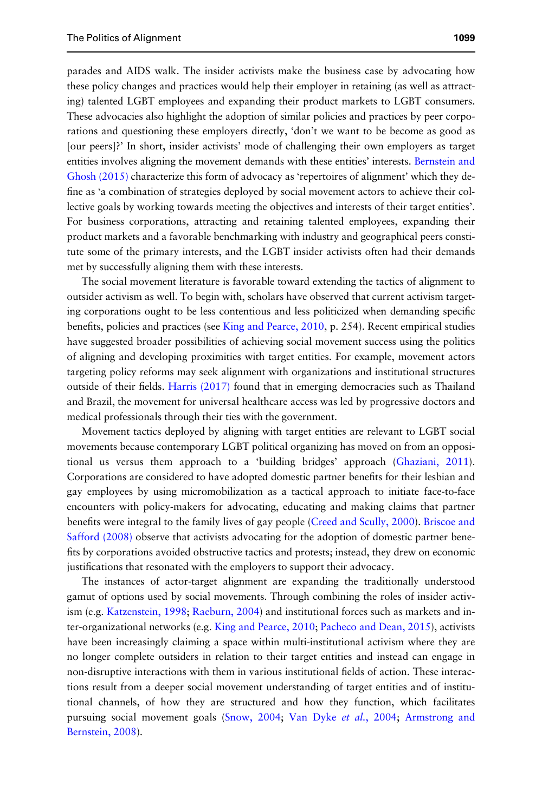parades and AIDS walk. The insider activists make the business case by advocating how these policy changes and practices would help their employer in retaining (as well as attracting) talented LGBT employees and expanding their product markets to LGBT consumers. These advocacies also highlight the adoption of similar policies and practices by peer corporations and questioning these employers directly, 'don't we want to be become as good as [our peers]?' In short, insider activists' mode of challenging their own employers as target entities involves aligning the movement demands with these entities' interests. Bernstein and Ghosh (2015) characterize this form of advocacy as 'repertoires of alignment' which they define as 'a combination of strategies deployed by social movement actors to achieve their collective goals by working towards meeting the objectives and interests of their target entities'. For business corporations, attracting and retaining talented employees, expanding their product markets and a favorable benchmarking with industry and geographical peers constitute some of the primary interests, and the LGBT insider activists often had their demands met by successfully aligning them with these interests.

The social movement literature is favorable toward extending the tactics of alignment to outsider activism as well. To begin with, scholars have observed that current activism targeting corporations ought to be less contentious and less politicized when demanding specific benefits, policies and practices (see King and Pearce, 2010, p. 254). Recent empirical studies have suggested broader possibilities of achieving social movement success using the politics of aligning and developing proximities with target entities. For example, movement actors targeting policy reforms may seek alignment with organizations and institutional structures outside of their fields. Harris (2017) found that in emerging democracies such as Thailand and Brazil, the movement for universal healthcare access was led by progressive doctors and medical professionals through their ties with the government.

Movement tactics deployed by aligning with target entities are relevant to LGBT social movements because contemporary LGBT political organizing has moved on from an oppositional us versus them approach to a 'building bridges' approach (Ghaziani, 2011). Corporations are considered to have adopted domestic partner benefits for their lesbian and gay employees by using micromobilization as a tactical approach to initiate face-to-face encounters with policy-makers for advocating, educating and making claims that partner benefits were integral to the family lives of gay people (Creed and Scully, 2000). Briscoe and Safford (2008) observe that activists advocating for the adoption of domestic partner benefits by corporations avoided obstructive tactics and protests; instead, they drew on economic justifications that resonated with the employers to support their advocacy.

The instances of actor-target alignment are expanding the traditionally understood gamut of options used by social movements. Through combining the roles of insider activism (e.g. Katzenstein, 1998; Raeburn, 2004) and institutional forces such as markets and inter-organizational networks (e.g. King and Pearce, 2010; Pacheco and Dean, 2015), activists have been increasingly claiming a space within multi-institutional activism where they are no longer complete outsiders in relation to their target entities and instead can engage in non-disruptive interactions with them in various institutional fields of action. These interactions result from a deeper social movement understanding of target entities and of institutional channels, of how they are structured and how they function, which facilitates pursuing social movement goals (Snow, 2004; Van Dyke *et al.*, 2004; Armstrong and Bernstein, 2008).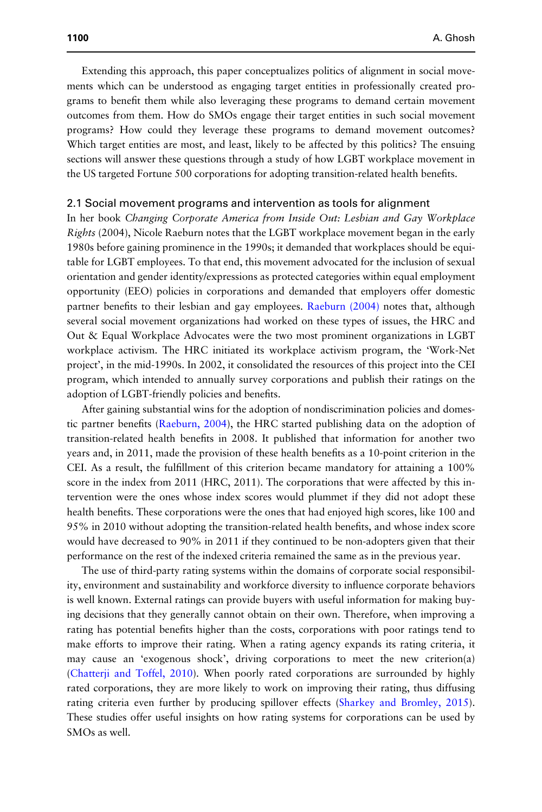Extending this approach, this paper conceptualizes politics of alignment in social movements which can be understood as engaging target entities in professionally created programs to benefit them while also leveraging these programs to demand certain movement outcomes from them. How do SMOs engage their target entities in such social movement programs? How could they leverage these programs to demand movement outcomes? Which target entities are most, and least, likely to be affected by this politics? The ensuing sections will answer these questions through a study of how LGBT workplace movement in the US targeted Fortune 500 corporations for adopting transition-related health benefits.

#### 2.1 Social movement programs and intervention as tools for alignment

In her book *Changing Corporate America from Inside Out: Lesbian and Gay Workplace Rights* (2004), Nicole Raeburn notes that the LGBT workplace movement began in the early 1980s before gaining prominence in the 1990s; it demanded that workplaces should be equitable for LGBT employees. To that end, this movement advocated for the inclusion of sexual orientation and gender identity/expressions as protected categories within equal employment opportunity (EEO) policies in corporations and demanded that employers offer domestic partner benefits to their lesbian and gay employees. Raeburn (2004) notes that, although several social movement organizations had worked on these types of issues, the HRC and Out & Equal Workplace Advocates were the two most prominent organizations in LGBT workplace activism. The HRC initiated its workplace activism program, the 'Work-Net project', in the mid-1990s. In 2002, it consolidated the resources of this project into the CEI program, which intended to annually survey corporations and publish their ratings on the adoption of LGBT-friendly policies and benefits.

After gaining substantial wins for the adoption of nondiscrimination policies and domestic partner benefits (Raeburn, 2004), the HRC started publishing data on the adoption of transition-related health benefits in 2008. It published that information for another two years and, in 2011, made the provision of these health benefits as a 10-point criterion in the CEI. As a result, the fulfillment of this criterion became mandatory for attaining a 100% score in the index from 2011 (HRC, 2011). The corporations that were affected by this intervention were the ones whose index scores would plummet if they did not adopt these health benefits. These corporations were the ones that had enjoyed high scores, like 100 and 95% in 2010 without adopting the transition-related health benefits, and whose index score would have decreased to 90% in 2011 if they continued to be non-adopters given that their performance on the rest of the indexed criteria remained the same as in the previous year.

The use of third-party rating systems within the domains of corporate social responsibility, environment and sustainability and workforce diversity to influence corporate behaviors is well known. External ratings can provide buyers with useful information for making buying decisions that they generally cannot obtain on their own. Therefore, when improving a rating has potential benefits higher than the costs, corporations with poor ratings tend to make efforts to improve their rating. When a rating agency expands its rating criteria, it may cause an 'exogenous shock', driving corporations to meet the new criterion(a) (Chatterji and Toffel, 2010). When poorly rated corporations are surrounded by highly rated corporations, they are more likely to work on improving their rating, thus diffusing rating criteria even further by producing spillover effects (Sharkey and Bromley, 2015). These studies offer useful insights on how rating systems for corporations can be used by SMOs as well.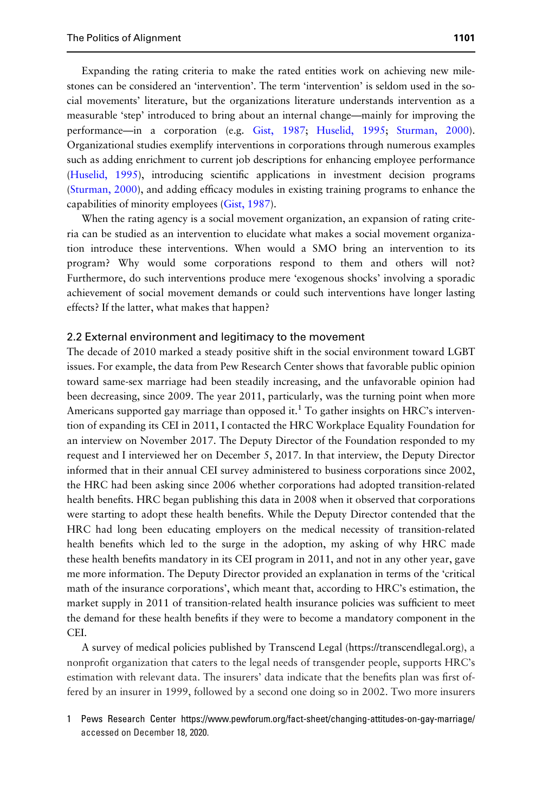Expanding the rating criteria to make the rated entities work on achieving new milestones can be considered an 'intervention'. The term 'intervention' is seldom used in the social movements' literature, but the organizations literature understands intervention as a measurable 'step' introduced to bring about an internal change—mainly for improving the performance—in a corporation (e.g. Gist, 1987; Huselid, 1995; Sturman, 2000). Organizational studies exemplify interventions in corporations through numerous examples such as adding enrichment to current job descriptions for enhancing employee performance (Huselid, 1995), introducing scientific applications in investment decision programs (Sturman, 2000), and adding efficacy modules in existing training programs to enhance the capabilities of minority employees (Gist, 1987).

When the rating agency is a social movement organization, an expansion of rating criteria can be studied as an intervention to elucidate what makes a social movement organization introduce these interventions. When would a SMO bring an intervention to its program? Why would some corporations respond to them and others will not? Furthermore, do such interventions produce mere 'exogenous shocks' involving a sporadic achievement of social movement demands or could such interventions have longer lasting effects? If the latter, what makes that happen?

#### 2.2 External environment and legitimacy to the movement

The decade of 2010 marked a steady positive shift in the social environment toward LGBT issues. For example, the data from Pew Research Center shows that favorable public opinion toward same-sex marriage had been steadily increasing, and the unfavorable opinion had been decreasing, since 2009. The year 2011, particularly, was the turning point when more Americans supported gay marriage than opposed it.<sup>1</sup> To gather insights on HRC's intervention of expanding its CEI in 2011, I contacted the HRC Workplace Equality Foundation for an interview on November 2017. The Deputy Director of the Foundation responded to my request and I interviewed her on December 5, 2017. In that interview, the Deputy Director informed that in their annual CEI survey administered to business corporations since 2002, the HRC had been asking since 2006 whether corporations had adopted transition-related health benefits. HRC began publishing this data in 2008 when it observed that corporations were starting to adopt these health benefits. While the Deputy Director contended that the HRC had long been educating employers on the medical necessity of transition-related health benefits which led to the surge in the adoption, my asking of why HRC made these health benefits mandatory in its CEI program in 2011, and not in any other year, gave me more information. The Deputy Director provided an explanation in terms of the 'critical math of the insurance corporations', which meant that, according to HRC's estimation, the market supply in 2011 of transition-related health insurance policies was sufficient to meet the demand for these health benefits if they were to become a mandatory component in the CEI.

A survey of medical policies published by Transcend Legal (https://transcendlegal.org), a nonprofit organization that caters to the legal needs of transgender people, supports HRC's estimation with relevant data. The insurers' data indicate that the benefits plan was first offered by an insurer in 1999, followed by a second one doing so in 2002. Two more insurers

1 Pews Research Center https://www.pewforum.org/fact-sheet/changing-attitudes-on-gay-marriage/ accessed on December 18, 2020.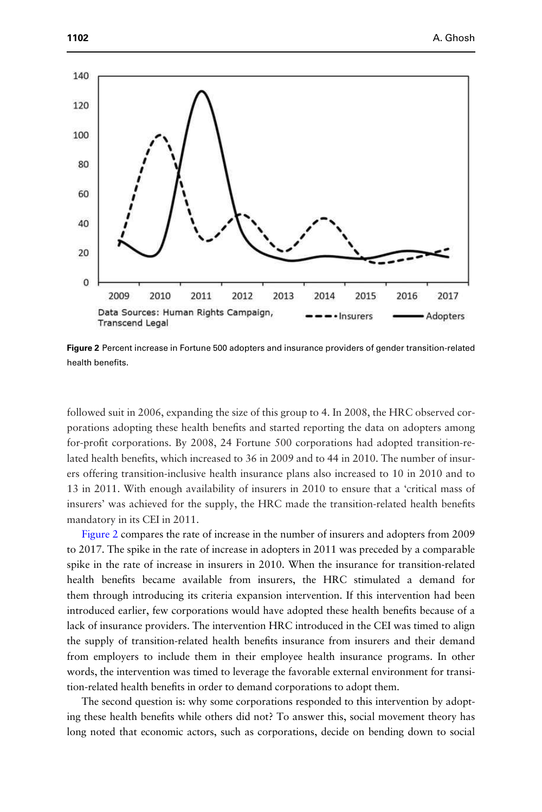

Figure 2 Percent increase in Fortune 500 adopters and insurance providers of gender transition-related health benefits.

followed suit in 2006, expanding the size of this group to 4. In 2008, the HRC observed corporations adopting these health benefits and started reporting the data on adopters among for-profit corporations. By 2008, 24 Fortune 500 corporations had adopted transition-related health benefits, which increased to 36 in 2009 and to 44 in 2010. The number of insurers offering transition-inclusive health insurance plans also increased to 10 in 2010 and to 13 in 2011. With enough availability of insurers in 2010 to ensure that a 'critical mass of insurers' was achieved for the supply, the HRC made the transition-related health benefits mandatory in its CEI in 2011.

Figure 2 compares the rate of increase in the number of insurers and adopters from 2009 to 2017. The spike in the rate of increase in adopters in 2011 was preceded by a comparable spike in the rate of increase in insurers in 2010. When the insurance for transition-related health benefits became available from insurers, the HRC stimulated a demand for them through introducing its criteria expansion intervention. If this intervention had been introduced earlier, few corporations would have adopted these health benefits because of a lack of insurance providers. The intervention HRC introduced in the CEI was timed to align the supply of transition-related health benefits insurance from insurers and their demand from employers to include them in their employee health insurance programs. In other words, the intervention was timed to leverage the favorable external environment for transition-related health benefits in order to demand corporations to adopt them.

The second question is: why some corporations responded to this intervention by adopting these health benefits while others did not? To answer this, social movement theory has long noted that economic actors, such as corporations, decide on bending down to social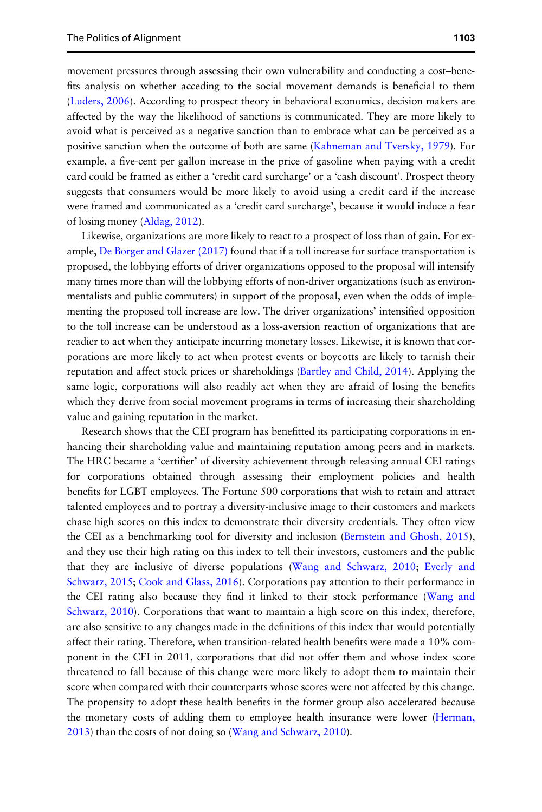movement pressures through assessing their own vulnerability and conducting a cost–benefits analysis on whether acceding to the social movement demands is beneficial to them (Luders, 2006). According to prospect theory in behavioral economics, decision makers are affected by the way the likelihood of sanctions is communicated. They are more likely to avoid what is perceived as a negative sanction than to embrace what can be perceived as a positive sanction when the outcome of both are same (Kahneman and Tversky, 1979). For example, a five-cent per gallon increase in the price of gasoline when paying with a credit card could be framed as either a 'credit card surcharge' or a 'cash discount'. Prospect theory suggests that consumers would be more likely to avoid using a credit card if the increase were framed and communicated as a 'credit card surcharge', because it would induce a fear of losing money (Aldag, 2012).

Likewise, organizations are more likely to react to a prospect of loss than of gain. For example, De Borger and Glazer  $(2017)$  found that if a toll increase for surface transportation is proposed, the lobbying efforts of driver organizations opposed to the proposal will intensify many times more than will the lobbying efforts of non-driver organizations (such as environmentalists and public commuters) in support of the proposal, even when the odds of implementing the proposed toll increase are low. The driver organizations' intensified opposition to the toll increase can be understood as a loss-aversion reaction of organizations that are readier to act when they anticipate incurring monetary losses. Likewise, it is known that corporations are more likely to act when protest events or boycotts are likely to tarnish their reputation and affect stock prices or shareholdings (Bartley and Child, 2014). Applying the same logic, corporations will also readily act when they are afraid of losing the benefits which they derive from social movement programs in terms of increasing their shareholding value and gaining reputation in the market.

Research shows that the CEI program has benefitted its participating corporations in enhancing their shareholding value and maintaining reputation among peers and in markets. The HRC became a 'certifier' of diversity achievement through releasing annual CEI ratings for corporations obtained through assessing their employment policies and health benefits for LGBT employees. The Fortune 500 corporations that wish to retain and attract talented employees and to portray a diversity-inclusive image to their customers and markets chase high scores on this index to demonstrate their diversity credentials. They often view the CEI as a benchmarking tool for diversity and inclusion (Bernstein and Ghosh, 2015), and they use their high rating on this index to tell their investors, customers and the public that they are inclusive of diverse populations (Wang and Schwarz, 2010; Everly and Schwarz, 2015; Cook and Glass, 2016). Corporations pay attention to their performance in the CEI rating also because they find it linked to their stock performance (Wang and Schwarz, 2010). Corporations that want to maintain a high score on this index, therefore, are also sensitive to any changes made in the definitions of this index that would potentially affect their rating. Therefore, when transition-related health benefits were made a 10% component in the CEI in 2011, corporations that did not offer them and whose index score threatened to fall because of this change were more likely to adopt them to maintain their score when compared with their counterparts whose scores were not affected by this change. The propensity to adopt these health benefits in the former group also accelerated because the monetary costs of adding them to employee health insurance were lower (Herman, 2013) than the costs of not doing so (Wang and Schwarz, 2010).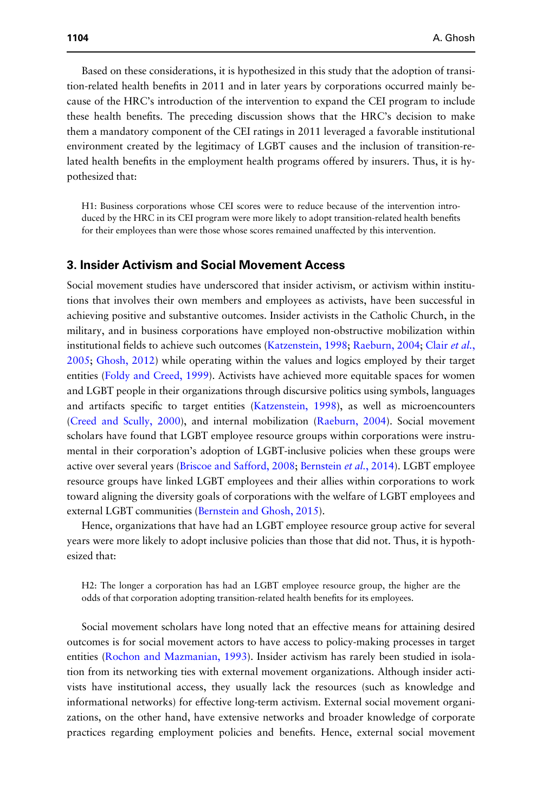Based on these considerations, it is hypothesized in this study that the adoption of transition-related health benefits in 2011 and in later years by corporations occurred mainly because of the HRC's introduction of the intervention to expand the CEI program to include these health benefits. The preceding discussion shows that the HRC's decision to make them a mandatory component of the CEI ratings in 2011 leveraged a favorable institutional environment created by the legitimacy of LGBT causes and the inclusion of transition-related health benefits in the employment health programs offered by insurers. Thus, it is hypothesized that:

H1: Business corporations whose CEI scores were to reduce because of the intervention introduced by the HRC in its CEI program were more likely to adopt transition-related health benefits for their employees than were those whose scores remained unaffected by this intervention.

## 3. Insider Activism and Social Movement Access

Social movement studies have underscored that insider activism, or activism within institutions that involves their own members and employees as activists, have been successful in achieving positive and substantive outcomes. Insider activists in the Catholic Church, in the military, and in business corporations have employed non-obstructive mobilization within institutional fields to achieve such outcomes (Katzenstein, 1998; Raeburn, 2004; Clair *et al.*, 2005; Ghosh, 2012) while operating within the values and logics employed by their target entities (Foldy and Creed, 1999). Activists have achieved more equitable spaces for women and LGBT people in their organizations through discursive politics using symbols, languages and artifacts specific to target entities (Katzenstein, 1998), as well as microencounters (Creed and Scully, 2000), and internal mobilization (Raeburn, 2004). Social movement scholars have found that LGBT employee resource groups within corporations were instrumental in their corporation's adoption of LGBT-inclusive policies when these groups were active over several years (Briscoe and Safford, 2008; Bernstein *et al.*, 2014). LGBT employee resource groups have linked LGBT employees and their allies within corporations to work toward aligning the diversity goals of corporations with the welfare of LGBT employees and external LGBT communities (Bernstein and Ghosh, 2015).

Hence, organizations that have had an LGBT employee resource group active for several years were more likely to adopt inclusive policies than those that did not. Thus, it is hypothesized that:

H2: The longer a corporation has had an LGBT employee resource group, the higher are the odds of that corporation adopting transition-related health benefits for its employees.

Social movement scholars have long noted that an effective means for attaining desired outcomes is for social movement actors to have access to policy-making processes in target entities (Rochon and Mazmanian, 1993). Insider activism has rarely been studied in isolation from its networking ties with external movement organizations. Although insider activists have institutional access, they usually lack the resources (such as knowledge and informational networks) for effective long-term activism. External social movement organizations, on the other hand, have extensive networks and broader knowledge of corporate practices regarding employment policies and benefits. Hence, external social movement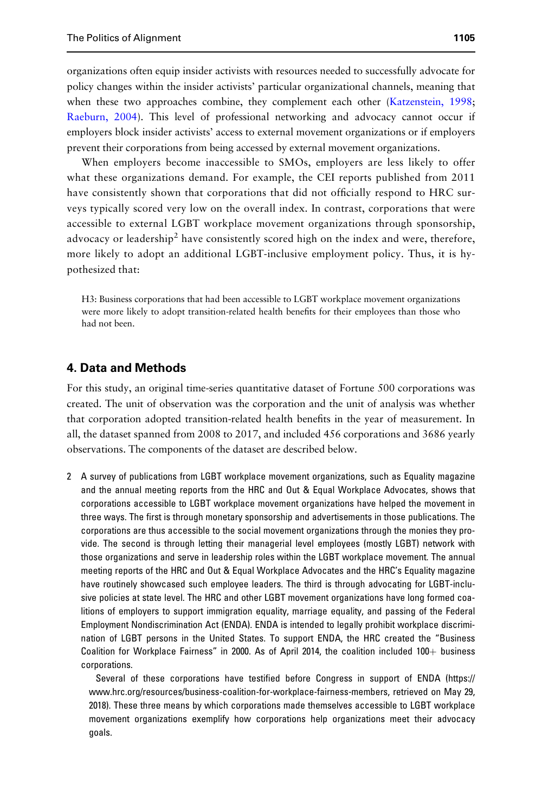organizations often equip insider activists with resources needed to successfully advocate for policy changes within the insider activists' particular organizational channels, meaning that when these two approaches combine, they complement each other (Katzenstein, 1998; Raeburn, 2004). This level of professional networking and advocacy cannot occur if employers block insider activists' access to external movement organizations or if employers prevent their corporations from being accessed by external movement organizations.

When employers become inaccessible to SMOs, employers are less likely to offer what these organizations demand. For example, the CEI reports published from 2011 have consistently shown that corporations that did not officially respond to HRC surveys typically scored very low on the overall index. In contrast, corporations that were accessible to external LGBT workplace movement organizations through sponsorship, advocacy or leadership<sup>2</sup> have consistently scored high on the index and were, therefore, more likely to adopt an additional LGBT-inclusive employment policy. Thus, it is hypothesized that:

H3: Business corporations that had been accessible to LGBT workplace movement organizations were more likely to adopt transition-related health benefits for their employees than those who had not been.

# 4. Data and Methods

For this study, an original time-series quantitative dataset of Fortune 500 corporations was created. The unit of observation was the corporation and the unit of analysis was whether that corporation adopted transition-related health benefits in the year of measurement. In all, the dataset spanned from 2008 to 2017, and included 456 corporations and 3686 yearly observations. The components of the dataset are described below.

2 A survey of publications from LGBT workplace movement organizations, such as Equality magazine and the annual meeting reports from the HRC and Out & Equal Workplace Advocates, shows that corporations accessible to LGBT workplace movement organizations have helped the movement in three ways. The first is through monetary sponsorship and advertisements in those publications. The corporations are thus accessible to the social movement organizations through the monies they provide. The second is through letting their managerial level employees (mostly LGBT) network with those organizations and serve in leadership roles within the LGBT workplace movement. The annual meeting reports of the HRC and Out & Equal Workplace Advocates and the HRC's Equality magazine have routinely showcased such employee leaders. The third is through advocating for LGBT-inclusive policies at state level. The HRC and other LGBT movement organizations have long formed coalitions of employers to support immigration equality, marriage equality, and passing of the Federal Employment Nondiscrimination Act (ENDA). ENDA is intended to legally prohibit workplace discrimination of LGBT persons in the United States. To support ENDA, the HRC created the "Business Coalition for Workplace Fairness" in 2000. As of April 2014, the coalition included 100+ business corporations.

Several of these corporations have testified before Congress in support of ENDA (https:// www.hrc.org/resources/business-coalition-for-workplace-fairness-members, retrieved on May 29, 2018). These three means by which corporations made themselves accessible to LGBT workplace movement organizations exemplify how corporations help organizations meet their advocacy goals.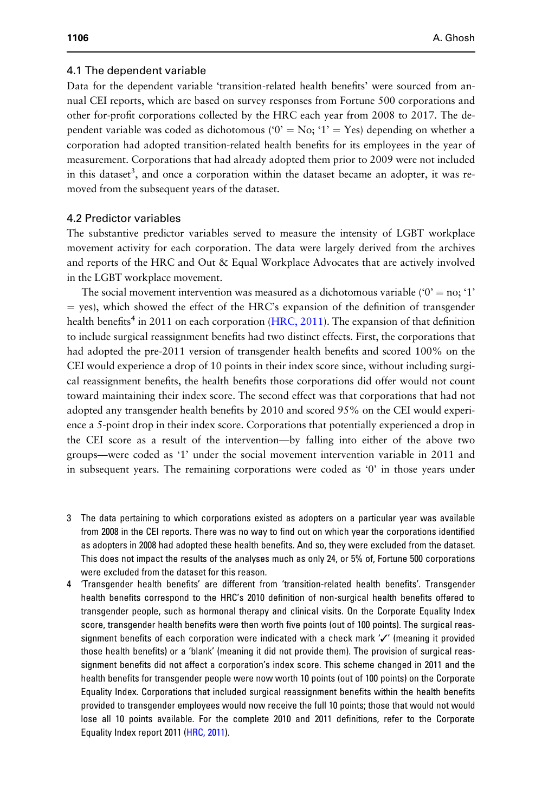#### 4.1 The dependent variable

Data for the dependent variable 'transition-related health benefits' were sourced from annual CEI reports, which are based on survey responses from Fortune 500 corporations and other for-profit corporations collected by the HRC each year from 2008 to 2017. The dependent variable was coded as dichotomous (' $0' = No$ ; '1' = Yes) depending on whether a corporation had adopted transition-related health benefits for its employees in the year of measurement. Corporations that had already adopted them prior to 2009 were not included in this dataset<sup>3</sup>, and once a corporation within the dataset became an adopter, it was removed from the subsequent years of the dataset.

#### 4.2 Predictor variables

The substantive predictor variables served to measure the intensity of LGBT workplace movement activity for each corporation. The data were largely derived from the archives and reports of the HRC and Out & Equal Workplace Advocates that are actively involved in the LGBT workplace movement.

The social movement intervention was measured as a dichotomous variable (' $0' =$  no; '1'  $=$  yes), which showed the effect of the HRC's expansion of the definition of transgender health benefits<sup>4</sup> in 2011 on each corporation (HRC, 2011). The expansion of that definition to include surgical reassignment benefits had two distinct effects. First, the corporations that had adopted the pre-2011 version of transgender health benefits and scored 100% on the CEI would experience a drop of 10 points in their index score since, without including surgical reassignment benefits, the health benefits those corporations did offer would not count toward maintaining their index score. The second effect was that corporations that had not adopted any transgender health benefits by 2010 and scored 95% on the CEI would experience a 5-point drop in their index score. Corporations that potentially experienced a drop in the CEI score as a result of the intervention—by falling into either of the above two groups—were coded as '1' under the social movement intervention variable in 2011 and in subsequent years. The remaining corporations were coded as '0' in those years under

- 3 The data pertaining to which corporations existed as adopters on a particular year was available from 2008 in the CEI reports. There was no way to find out on which year the corporations identified as adopters in 2008 had adopted these health benefits. And so, they were excluded from the dataset. This does not impact the results of the analyses much as only 24, or 5% of, Fortune 500 corporations were excluded from the dataset for this reason.
- 4 'Transgender health benefits' are different from 'transition-related health benefits'. Transgender health benefits correspond to the HRC's 2010 definition of non-surgical health benefits offered to transgender people, such as hormonal therapy and clinical visits. On the Corporate Equality Index score, transgender health benefits were then worth five points (out of 100 points). The surgical reassignment benefits of each corporation were indicated with a check mark '✓' (meaning it provided those health benefits) or a 'blank' (meaning it did not provide them). The provision of surgical reassignment benefits did not affect a corporation's index score. This scheme changed in 2011 and the health benefits for transgender people were now worth 10 points (out of 100 points) on the Corporate Equality Index. Corporations that included surgical reassignment benefits within the health benefits provided to transgender employees would now receive the full 10 points; those that would not would lose all 10 points available. For the complete 2010 and 2011 definitions, refer to the Corporate Equality Index report 2011 (HRC, 2011).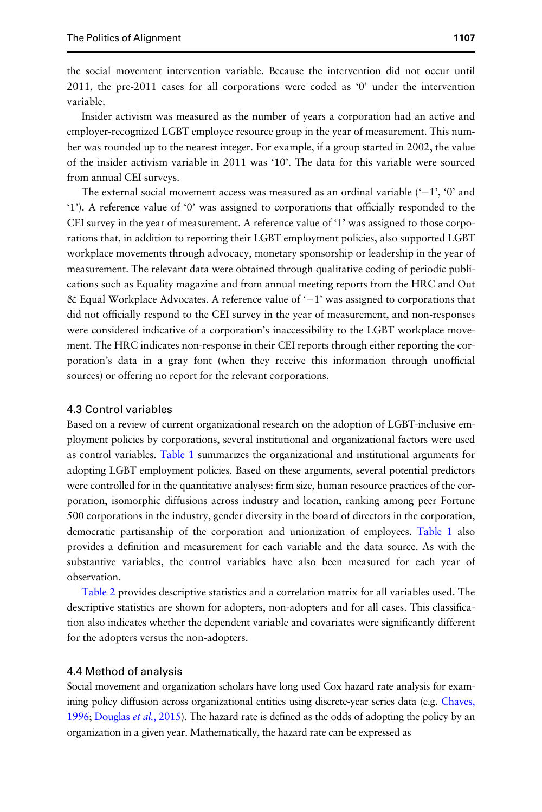the social movement intervention variable. Because the intervention did not occur until 2011, the pre-2011 cases for all corporations were coded as '0' under the intervention variable.

Insider activism was measured as the number of years a corporation had an active and employer-recognized LGBT employee resource group in the year of measurement. This number was rounded up to the nearest integer. For example, if a group started in 2002, the value of the insider activism variable in 2011 was '10'. The data for this variable were sourced from annual CEI surveys.

The external social movement access was measured as an ordinal variable  $(-1, 0)$  and '1'). A reference value of '0' was assigned to corporations that officially responded to the CEI survey in the year of measurement. A reference value of '1' was assigned to those corporations that, in addition to reporting their LGBT employment policies, also supported LGBT workplace movements through advocacy, monetary sponsorship or leadership in the year of measurement. The relevant data were obtained through qualitative coding of periodic publications such as Equality magazine and from annual meeting reports from the HRC and Out & Equal Workplace Advocates. A reference value of '–1' was assigned to corporations that did not officially respond to the CEI survey in the year of measurement, and non-responses were considered indicative of a corporation's inaccessibility to the LGBT workplace movement. The HRC indicates non-response in their CEI reports through either reporting the corporation's data in a gray font (when they receive this information through unofficial sources) or offering no report for the relevant corporations.

## 4.3 Control variables

Based on a review of current organizational research on the adoption of LGBT-inclusive employment policies by corporations, several institutional and organizational factors were used as control variables. Table 1 summarizes the organizational and institutional arguments for adopting LGBT employment policies. Based on these arguments, several potential predictors were controlled for in the quantitative analyses: firm size, human resource practices of the corporation, isomorphic diffusions across industry and location, ranking among peer Fortune 500 corporations in the industry, gender diversity in the board of directors in the corporation, democratic partisanship of the corporation and unionization of employees. Table 1 also provides a definition and measurement for each variable and the data source. As with the substantive variables, the control variables have also been measured for each year of observation.

Table 2 provides descriptive statistics and a correlation matrix for all variables used. The descriptive statistics are shown for adopters, non-adopters and for all cases. This classification also indicates whether the dependent variable and covariates were significantly different for the adopters versus the non-adopters.

#### 4.4 Method of analysis

Social movement and organization scholars have long used Cox hazard rate analysis for examining policy diffusion across organizational entities using discrete-year series data (e.g. Chaves, 1996; Douglas *et al.*, 2015). The hazard rate is defined as the odds of adopting the policy by an organization in a given year. Mathematically, the hazard rate can be expressed as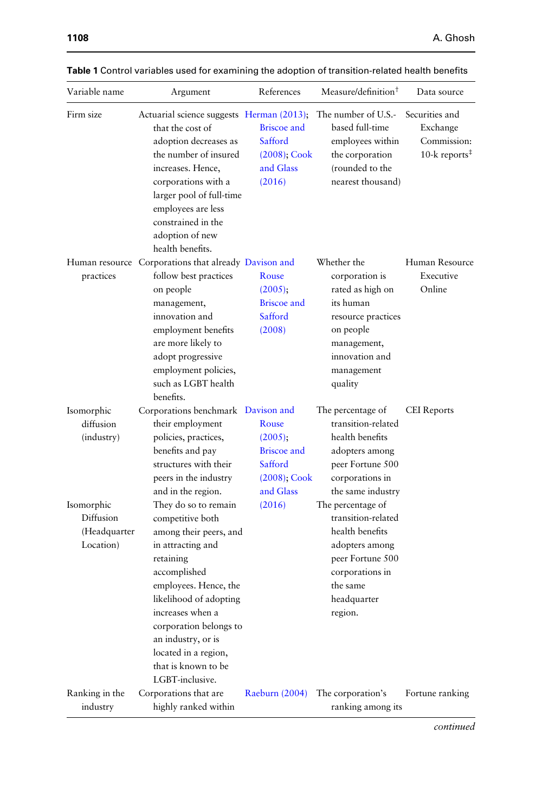| Variable name                                       | Argument                                                                                                                                                                                                                                                                              | References                                                                                     | Measure/definition <sup>†</sup>                                                                                                                               | Data source                                                                         |
|-----------------------------------------------------|---------------------------------------------------------------------------------------------------------------------------------------------------------------------------------------------------------------------------------------------------------------------------------------|------------------------------------------------------------------------------------------------|---------------------------------------------------------------------------------------------------------------------------------------------------------------|-------------------------------------------------------------------------------------|
| Firm size                                           | Actuarial science suggests Herman (2013);<br>that the cost of<br>adoption decreases as<br>the number of insured<br>increases. Hence,<br>corporations with a<br>larger pool of full-time<br>employees are less<br>constrained in the<br>adoption of new<br>health benefits.            | <b>Briscoe</b> and<br>Safford<br>$(2008)$ ; Cook<br>and Glass<br>(2016)                        | The number of U.S.-<br>based full-time<br>employees within<br>the corporation<br>(rounded to the<br>nearest thousand)                                         | Securities and<br>Exchange<br>Commission:<br>10-k reports <sup><math>#</math></sup> |
| practices                                           | Human resource Corporations that already Davison and<br>follow best practices<br>on people<br>management,<br>innovation and<br>employment benefits<br>are more likely to<br>adopt progressive<br>employment policies,<br>such as LGBT health<br>benefits.                             | Rouse<br>$(2005)$ ;<br><b>Briscoe</b> and<br>Safford<br>(2008)                                 | Whether the<br>corporation is<br>rated as high on<br>its human<br>resource practices<br>on people<br>management,<br>innovation and<br>management<br>quality   | Human Resource<br>Executive<br>Online                                               |
| Isomorphic<br>diffusion<br>(industry)<br>Isomorphic | Corporations benchmark Davison and<br>their employment<br>policies, practices,<br>benefits and pay<br>structures with their<br>peers in the industry<br>and in the region.<br>They do so to remain                                                                                    | Rouse<br>$(2005)$ ;<br><b>Briscoe</b> and<br>Safford<br>$(2008)$ ; Cook<br>and Glass<br>(2016) | The percentage of<br>transition-related<br>health benefits<br>adopters among<br>peer Fortune 500<br>corporations in<br>the same industry<br>The percentage of | <b>CEI</b> Reports                                                                  |
| Diffusion<br>(Headquarter<br>Location)              | competitive both<br>among their peers, and<br>in attracting and<br>retaining<br>accomplished<br>employees. Hence, the<br>likelihood of adopting<br>increases when a<br>corporation belongs to<br>an industry, or is<br>located in a region,<br>that is known to be<br>LGBT-inclusive. |                                                                                                | transition-related<br>health benefits<br>adopters among<br>peer Fortune 500<br>corporations in<br>the same<br>headquarter<br>region.                          |                                                                                     |
| Ranking in the<br>industry                          | Corporations that are<br>highly ranked within                                                                                                                                                                                                                                         | <b>Raeburn</b> (2004)                                                                          | The corporation's<br>ranking among its                                                                                                                        | Fortune ranking                                                                     |

| Table 1 Control variables used for examining the adoption of transition-related health benefits |  |
|-------------------------------------------------------------------------------------------------|--|
|-------------------------------------------------------------------------------------------------|--|

*continued*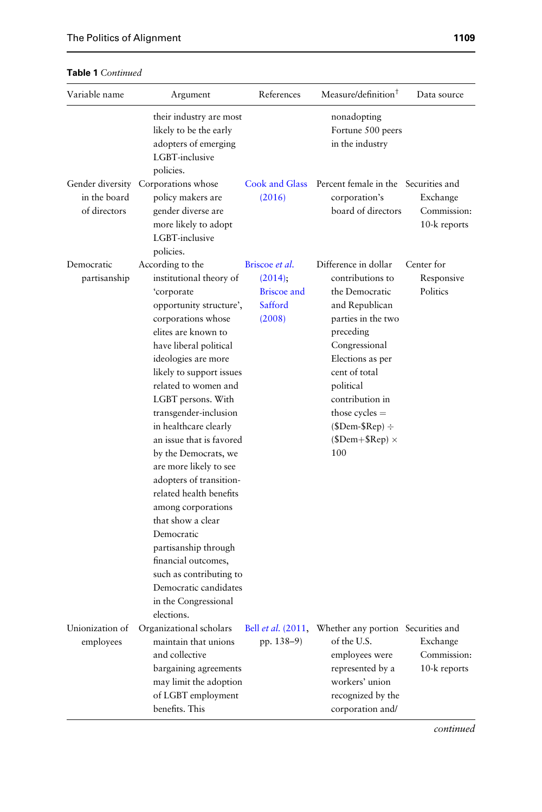| Table 1 Continued |  |  |
|-------------------|--|--|

| Variable name                | Argument                                                                                                                                                                                                                                                                                                                                                                                                                                                                                                                                                                                                                                             | References                                                          | Measure/definition <sup>†</sup>                                                                                                                                                                                                                                                  | Data source                             |
|------------------------------|------------------------------------------------------------------------------------------------------------------------------------------------------------------------------------------------------------------------------------------------------------------------------------------------------------------------------------------------------------------------------------------------------------------------------------------------------------------------------------------------------------------------------------------------------------------------------------------------------------------------------------------------------|---------------------------------------------------------------------|----------------------------------------------------------------------------------------------------------------------------------------------------------------------------------------------------------------------------------------------------------------------------------|-----------------------------------------|
|                              | their industry are most<br>likely to be the early<br>adopters of emerging<br>LGBT-inclusive<br>policies.                                                                                                                                                                                                                                                                                                                                                                                                                                                                                                                                             |                                                                     | nonadopting<br>Fortune 500 peers<br>in the industry                                                                                                                                                                                                                              |                                         |
| in the board<br>of directors | Gender diversity Corporations whose<br>policy makers are<br>gender diverse are<br>more likely to adopt<br>LGBT-inclusive<br>policies.                                                                                                                                                                                                                                                                                                                                                                                                                                                                                                                | Cook and Glass<br>(2016)                                            | Percent female in the Securities and<br>corporation's<br>board of directors                                                                                                                                                                                                      | Exchange<br>Commission:<br>10-k reports |
| Democratic<br>partisanship   | According to the<br>institutional theory of<br>'corporate<br>opportunity structure',<br>corporations whose<br>elites are known to<br>have liberal political<br>ideologies are more<br>likely to support issues<br>related to women and<br>LGBT persons. With<br>transgender-inclusion<br>in healthcare clearly<br>an issue that is favored<br>by the Democrats, we<br>are more likely to see<br>adopters of transition-<br>related health benefits<br>among corporations<br>that show a clear<br>Democratic<br>partisanship through<br>financial outcomes,<br>such as contributing to<br>Democratic candidates<br>in the Congressional<br>elections. | Briscoe et al.<br>(2014)<br><b>Briscoe</b> and<br>Safford<br>(2008) | Difference in dollar<br>contributions to<br>the Democratic<br>and Republican<br>parties in the two<br>preceding<br>Congressional<br>Elections as per<br>cent of total<br>political<br>contribution in<br>those cycles $=$<br>$($Dem-SRep) \div$<br>$(SDem + SRep) \times$<br>100 | Center for<br>Responsive<br>Politics    |
| Unionization of<br>employees | Organizational scholars<br>maintain that unions<br>and collective<br>bargaining agreements<br>may limit the adoption<br>of LGBT employment<br>benefits. This                                                                                                                                                                                                                                                                                                                                                                                                                                                                                         | Bell <i>et al.</i> (2011,<br>pp. 138-9)                             | Whether any portion Securities and<br>of the U.S.<br>employees were<br>represented by a<br>workers' union<br>recognized by the<br>corporation and/                                                                                                                               | Exchange<br>Commission:<br>10-k reports |

*continued*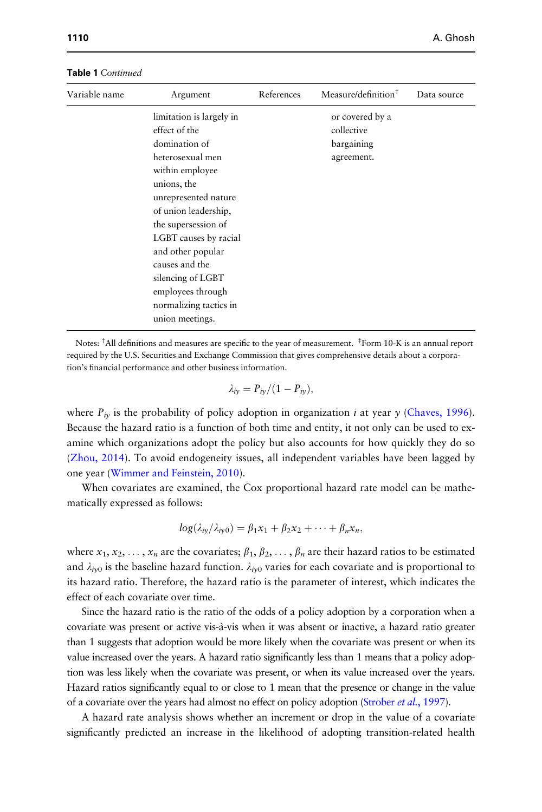| Variable name | Argument                 | References | Measure/definition <sup>†</sup> | Data source |
|---------------|--------------------------|------------|---------------------------------|-------------|
|               | limitation is largely in |            | or covered by a                 |             |
|               | effect of the            |            | collective                      |             |
|               | domination of            |            | bargaining                      |             |
|               | heterosexual men         |            | agreement.                      |             |
|               | within employee          |            |                                 |             |
|               | unions, the              |            |                                 |             |
|               | unrepresented nature     |            |                                 |             |
|               | of union leadership,     |            |                                 |             |
|               | the supersession of      |            |                                 |             |
|               | LGBT causes by racial    |            |                                 |             |
|               | and other popular        |            |                                 |             |
|               | causes and the           |            |                                 |             |
|               | silencing of LGBT        |            |                                 |             |
|               | employees through        |            |                                 |             |
|               | normalizing tactics in   |            |                                 |             |
|               | union meetings.          |            |                                 |             |

Table 1 *Continued*

Notes: †All definitions and measures are specific to the year of measurement. ‡ Form 10-K is an annual report required by the U.S. Securities and Exchange Commission that gives comprehensive details about a corporation's financial performance and other business information.

$$
\lambda_{iy}=P_{iy}/(1-P_{iy}),
$$

where  $P_{iv}$  is the probability of policy adoption in organization *i* at year *y* (Chaves, 1996). Because the hazard ratio is a function of both time and entity, it not only can be used to examine which organizations adopt the policy but also accounts for how quickly they do so (Zhou, 2014). To avoid endogeneity issues, all independent variables have been lagged by one year (Wimmer and Feinstein, 2010).

When covariates are examined, the Cox proportional hazard rate model can be mathematically expressed as follows:

$$
log(\lambda_{iy}/\lambda_{iy0})=\beta_1x_1+\beta_2x_2+\cdots+\beta_nx_n,
$$

where  $x_1, x_2, \ldots, x_n$  are the covariates;  $\beta_1, \beta_2, \ldots, \beta_n$  are their hazard ratios to be estimated and  $\lambda_{iv0}$  is the baseline hazard function.  $\lambda_{iv0}$  varies for each covariate and is proportional to its hazard ratio. Therefore, the hazard ratio is the parameter of interest, which indicates the effect of each covariate over time.

Since the hazard ratio is the ratio of the odds of a policy adoption by a corporation when a covariate was present or active vis-a` -vis when it was absent or inactive, a hazard ratio greater than 1 suggests that adoption would be more likely when the covariate was present or when its value increased over the years. A hazard ratio significantly less than 1 means that a policy adoption was less likely when the covariate was present, or when its value increased over the years. Hazard ratios significantly equal to or close to 1 mean that the presence or change in the value of a covariate over the years had almost no effect on policy adoption (Strober *et al.*, 1997).

A hazard rate analysis shows whether an increment or drop in the value of a covariate significantly predicted an increase in the likelihood of adopting transition-related health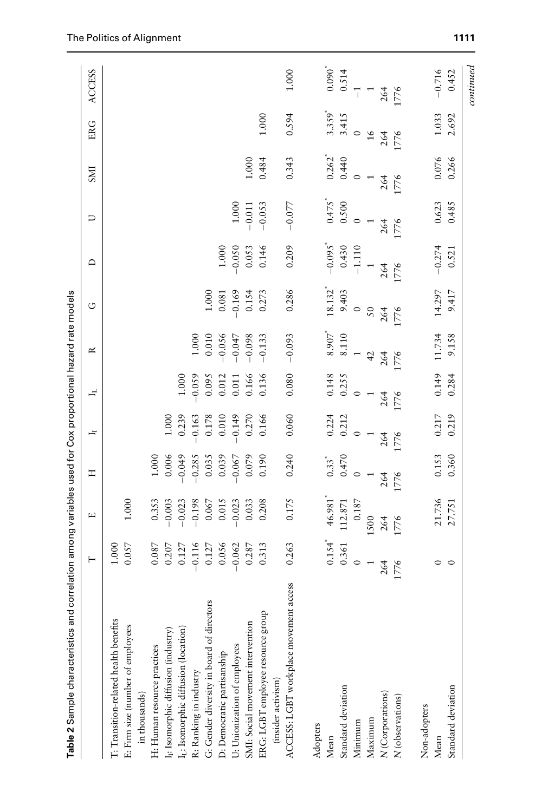| Table 2 Sample characteristics and               | correlation among variables used for Cox proportional hazard rate models |                       |                     |                    |          |                    |                                |                       |                      |                      |                                 |                    |
|--------------------------------------------------|--------------------------------------------------------------------------|-----------------------|---------------------|--------------------|----------|--------------------|--------------------------------|-----------------------|----------------------|----------------------|---------------------------------|--------------------|
|                                                  | ⊢                                                                        | щ                     | エ                   | Ŀ                  | ᅿ        | ≃                  | ن                              | ≏                     | コ                    | <b>ENS</b>           | ER G                            | <b>ACCESS</b>      |
| T: Transition-related health benefits            | 1.000                                                                    |                       |                     |                    |          |                    |                                |                       |                      |                      |                                 |                    |
| E: Firm size (number of employees                | 0.057                                                                    | 1.000                 |                     |                    |          |                    |                                |                       |                      |                      |                                 |                    |
| in thousands)                                    |                                                                          |                       |                     |                    |          |                    |                                |                       |                      |                      |                                 |                    |
| H: Human resource practices                      | 0.087                                                                    | 0.353                 | 1.000               |                    |          |                    |                                |                       |                      |                      |                                 |                    |
| I <sub>I</sub> : Isomorphic diffusion (industry) | 0.207                                                                    | $-0.003$              | 0.006               | 1.000              |          |                    |                                |                       |                      |                      |                                 |                    |
| I <sub>L</sub> : Isomorphic diffusion (location) | 0.127                                                                    | $-0.023$              | $6*0.019$           | 0.239              | 1,000    |                    |                                |                       |                      |                      |                                 |                    |
| R: Ranking in industry                           | $-0.116$                                                                 | $-0.198$              | $-0.285$            | $-0.163$           | $-0.059$ | 1.000              |                                |                       |                      |                      |                                 |                    |
| G: Gender diversity in board of directors        | 0.127                                                                    | 0.067                 | 0.035               | 0.178              | 0.095    | 0.010              | $1.000$                        |                       |                      |                      |                                 |                    |
| D: Democratic partisanship                       | 0.056                                                                    | 0.015                 | 0.039               | 0.010              | 0.012    | $-0.056$           | 0.081                          | 1.000                 |                      |                      |                                 |                    |
| U: Unionization of employees                     | $-0.062$                                                                 | $-0.023$              | 0.067               | 0.149              | 0.011    | $-0.047$           | $-0.169$                       | 0.050                 | 1.000                |                      |                                 |                    |
| SMI: Social movement intervention                | 0.287                                                                    | 0.033                 | 0.079               | 0.270              | 0.166    | $-0.098$           | 0.154                          | 0.053                 | $-0.011$             | 1.000                |                                 |                    |
| ERG: LGBT employee resource group                | 0.313                                                                    | 0.208                 | 0.190               | 0.166              | 0.136    | $-0.133$           | 0.273                          | 0.146                 | $-0.053$             | 0.484                | 1.000                           |                    |
| (insider activism)                               |                                                                          |                       |                     |                    |          |                    |                                |                       |                      |                      |                                 |                    |
| ACCESS: LGBT workplace movement access           | 0.263                                                                    | 0.175                 | 0.240               | 0.060              | 0.080    | $-0.093$           | 0.286                          | 0.209                 | $-0.077$             | 0.343                | 0.594                           | 1.000              |
| Adopters                                         |                                                                          |                       |                     |                    |          |                    |                                |                       |                      |                      |                                 |                    |
| Mean                                             | $0.154$ <sup>*</sup>                                                     | $46.981$ <sup>*</sup> | $0.33$ <sup>*</sup> |                    | 0.148    | $8.907$ $^{\circ}$ |                                | $-0.095$ <sup>*</sup> | $0.475$ <sup>*</sup> |                      |                                 |                    |
| Standard deviation                               | 0.361                                                                    | $112.871$             | 0.470               | $0.224$<br>$0.212$ | 0.255    | 8.110              | $18.132$ <sup>*</sup><br>9.403 | 0.430                 | 0.500                | $0.262$ <sup>*</sup> | $3.359$ <sup>*</sup><br>$3.415$ | $0.090^*$<br>0.514 |
| Minimum                                          |                                                                          | $0.187\,$             |                     | $\circ$            | $\circ$  |                    | $\circ$                        | $-1.110$              | $\circ$              | $\circ$              | $\circ$                         | $\overline{1}$     |
| Maximum                                          |                                                                          | 1500                  |                     |                    |          | 42                 | $50\,$                         |                       |                      |                      | $\frac{9}{2}$                   |                    |
| $N\left( \text{Corporations}\right)$             | 264                                                                      | 264                   | 264                 | 264                | 264      | 264                | 264                            | 264                   | 264                  | 264                  | 264                             | 264                |
| $N\left($ observations)                          | 1776                                                                     | 1776                  | 1776                | 1776               | 776      | 776                | 776                            | 1776                  | 1776                 | 1776                 | 1776                            | 1776               |
| Non-adopters                                     |                                                                          |                       |                     |                    |          |                    |                                |                       |                      |                      |                                 |                    |
| Mean                                             | $\circ$                                                                  | 21.736                | 0.153               | 0.217              | 0.149    | 11.734             | 14.297                         | $-0.274$              | 0.623                | 0.076                | 1.033                           | $-0.716$           |
| Standard deviation                               | $\circ$                                                                  | 27.751                | 0.360               | 0.219              | 0.284    | 9.158              | 9.417                          | 0.521                 | 0.485                | 0.266                | 2.692                           | 0.452              |
|                                                  |                                                                          |                       |                     |                    |          |                    |                                |                       |                      |                      |                                 | continued          |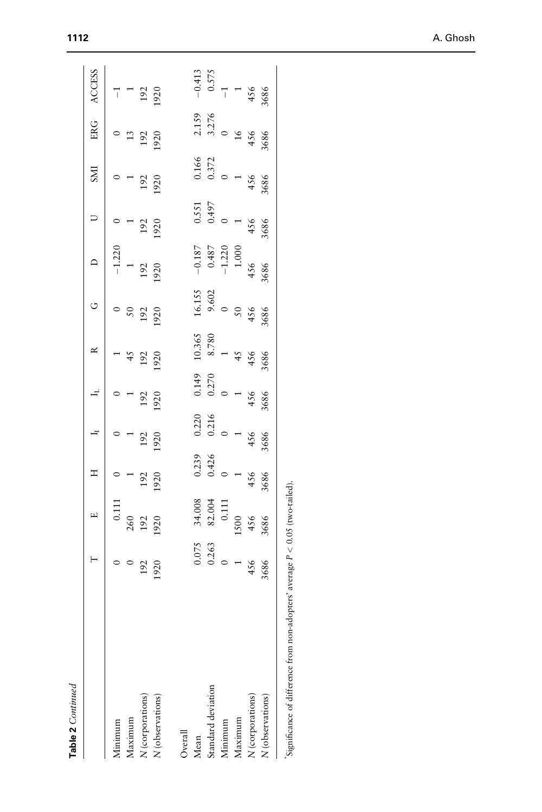| Table 2 Continued                            |                                             |                                                             |                                                 |                                                 |                                              |                                                    |                                                       |                                                     |                                         |                                          |                                                       |                                                |
|----------------------------------------------|---------------------------------------------|-------------------------------------------------------------|-------------------------------------------------|-------------------------------------------------|----------------------------------------------|----------------------------------------------------|-------------------------------------------------------|-----------------------------------------------------|-----------------------------------------|------------------------------------------|-------------------------------------------------------|------------------------------------------------|
|                                              | $\vdash$                                    | $\Box$                                                      | $\mathbb{I}$                                    | $\overline{a}$                                  | $\mathbf{H}$                                 | $\approx$                                          | C                                                     | $\supset$                                           | $\cup$                                  | <b>INS</b>                               | <b>ERG</b>                                            | <b>ACCESS</b>                                  |
| Minimum                                      |                                             |                                                             |                                                 |                                                 |                                              |                                                    |                                                       |                                                     |                                         |                                          |                                                       |                                                |
| Maximum                                      | $\frac{0}{192}$<br>1920                     | $\begin{array}{c} 0.111 \\ 260 \\ 192 \\ 192 \end{array}$   |                                                 |                                                 |                                              | $45$<br>$45$<br>$192$<br>$1920$                    | $\begin{array}{c} 0 \\ 50 \\ 192 \\ 1920 \end{array}$ | $-1.220$<br>192<br>192                              | $\frac{1}{192}$                         |                                          | $\begin{array}{c} 0 \\ 13 \\ 192 \\ 1920 \end{array}$ | $\frac{-1}{1}$<br>192<br>1920                  |
| N (corporations)                             |                                             |                                                             | $\begin{array}{c} 1 \\ 192 \\ 1920 \end{array}$ |                                                 | $\frac{1}{192}$                              |                                                    |                                                       |                                                     |                                         | $\frac{1}{192}$                          |                                                       |                                                |
| N (observations)                             |                                             |                                                             |                                                 | 192<br>1920                                     |                                              |                                                    |                                                       |                                                     |                                         |                                          |                                                       |                                                |
| Overall                                      |                                             |                                                             |                                                 |                                                 |                                              |                                                    |                                                       |                                                     |                                         |                                          |                                                       |                                                |
| Mean                                         |                                             |                                                             |                                                 |                                                 |                                              |                                                    |                                                       |                                                     |                                         |                                          |                                                       |                                                |
| Standard deviation                           | $0.075$<br>0.263<br>0<br>456<br>456<br>4586 | $34.008$<br>82.004<br>0.111<br>1500<br>1506<br>4566<br>3686 | $0.239$<br>0.426<br>0<br>456<br>456<br>3686     | $0.220$<br>0.216<br>0.216<br>456<br>456<br>3686 | 0.149<br>0.270<br>0.270<br>456<br>456<br>456 | 10.365<br>8.780<br>1<br>456<br>456<br>4566<br>3686 | $16.155$<br>9.602<br>9.602<br>50<br>456<br>4566       | $-0.187$<br>0.487<br>-1.220<br>-1.200<br>456<br>456 | $0.551$<br>0.497<br>0.497<br>456<br>456 | 0.166<br>0.372<br>0<br>456<br>456<br>456 | 2.159<br>3.276<br>0<br>16<br>456<br>456<br>3686       | $-0.413$<br>0.575<br>-1<br>456<br>4566<br>4586 |
| Minimum                                      |                                             |                                                             |                                                 |                                                 |                                              |                                                    |                                                       |                                                     |                                         |                                          |                                                       |                                                |
| Maximum                                      |                                             |                                                             |                                                 |                                                 |                                              |                                                    |                                                       |                                                     |                                         |                                          |                                                       |                                                |
| N (corporations)                             |                                             |                                                             |                                                 |                                                 |                                              |                                                    |                                                       |                                                     |                                         |                                          |                                                       |                                                |
| N (observations)                             |                                             |                                                             |                                                 |                                                 |                                              |                                                    |                                                       |                                                     |                                         |                                          |                                                       |                                                |
| $\ddot{\phantom{a}}$<br>$\ddot{\phantom{a}}$ |                                             |                                                             |                                                 |                                                 |                                              |                                                    |                                                       |                                                     |                                         |                                          |                                                       |                                                |

 $\mathrm{``significance~of~difference~from~non-adopters'~average~}P<0.05~\mathrm{(two-tailed)}.$  $^{8}$  Significance of difference from non-adopters' average  $P < 0.05$  (two-tailed).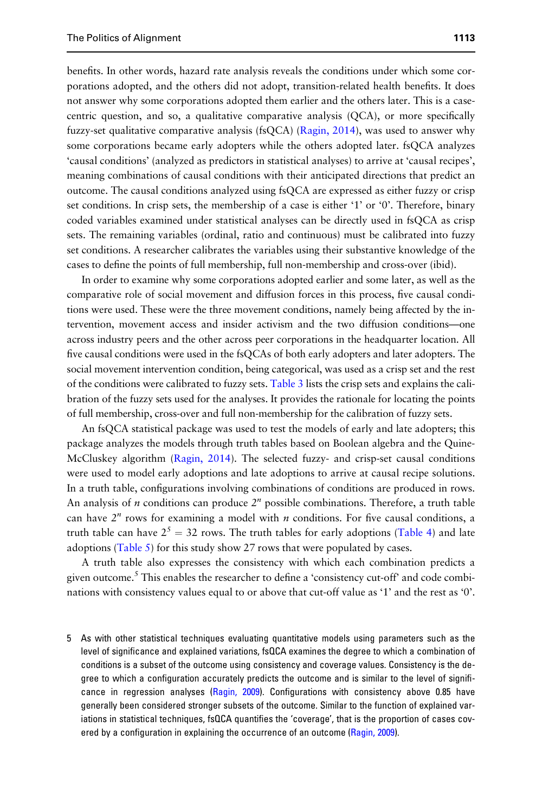benefits. In other words, hazard rate analysis reveals the conditions under which some corporations adopted, and the others did not adopt, transition-related health benefits. It does not answer why some corporations adopted them earlier and the others later. This is a casecentric question, and so, a qualitative comparative analysis (QCA), or more specifically fuzzy-set qualitative comparative analysis (fsQCA) (Ragin, 2014), was used to answer why some corporations became early adopters while the others adopted later. fsQCA analyzes 'causal conditions' (analyzed as predictors in statistical analyses) to arrive at 'causal recipes', meaning combinations of causal conditions with their anticipated directions that predict an outcome. The causal conditions analyzed using fsQCA are expressed as either fuzzy or crisp set conditions. In crisp sets, the membership of a case is either '1' or '0'. Therefore, binary coded variables examined under statistical analyses can be directly used in fsQCA as crisp sets. The remaining variables (ordinal, ratio and continuous) must be calibrated into fuzzy set conditions. A researcher calibrates the variables using their substantive knowledge of the cases to define the points of full membership, full non-membership and cross-over (ibid).

In order to examine why some corporations adopted earlier and some later, as well as the comparative role of social movement and diffusion forces in this process, five causal conditions were used. These were the three movement conditions, namely being affected by the intervention, movement access and insider activism and the two diffusion conditions—one across industry peers and the other across peer corporations in the headquarter location. All five causal conditions were used in the fsQCAs of both early adopters and later adopters. The social movement intervention condition, being categorical, was used as a crisp set and the rest of the conditions were calibrated to fuzzy sets. Table 3 lists the crisp sets and explains the calibration of the fuzzy sets used for the analyses. It provides the rationale for locating the points of full membership, cross-over and full non-membership for the calibration of fuzzy sets.

An fsQCA statistical package was used to test the models of early and late adopters; this package analyzes the models through truth tables based on Boolean algebra and the Quine-McCluskey algorithm (Ragin, 2014). The selected fuzzy- and crisp-set causal conditions were used to model early adoptions and late adoptions to arrive at causal recipe solutions. In a truth table, configurations involving combinations of conditions are produced in rows. An analysis of *n* conditions can produce  $2^n$  possible combinations. Therefore, a truth table can have  $2^n$  rows for examining a model with  $n$  conditions. For five causal conditions, a truth table can have  $2^5 = 32$  rows. The truth tables for early adoptions (Table 4) and late adoptions (Table 5) for this study show 27 rows that were populated by cases.

A truth table also expresses the consistency with which each combination predicts a given outcome.<sup>5</sup> This enables the researcher to define a 'consistency cut-off' and code combinations with consistency values equal to or above that cut-off value as '1' and the rest as '0'.

5 As with other statistical techniques evaluating quantitative models using parameters such as the level of significance and explained variations, fsQCA examines the degree to which a combination of conditions is a subset of the outcome using consistency and coverage values. Consistency is the degree to which a configuration accurately predicts the outcome and is similar to the level of significance in regression analyses (Ragin, 2009). Configurations with consistency above 0.85 have generally been considered stronger subsets of the outcome. Similar to the function of explained variations in statistical techniques, fsQCA quantifies the 'coverage', that is the proportion of cases covered by a configuration in explaining the occurrence of an outcome (Ragin, 2009).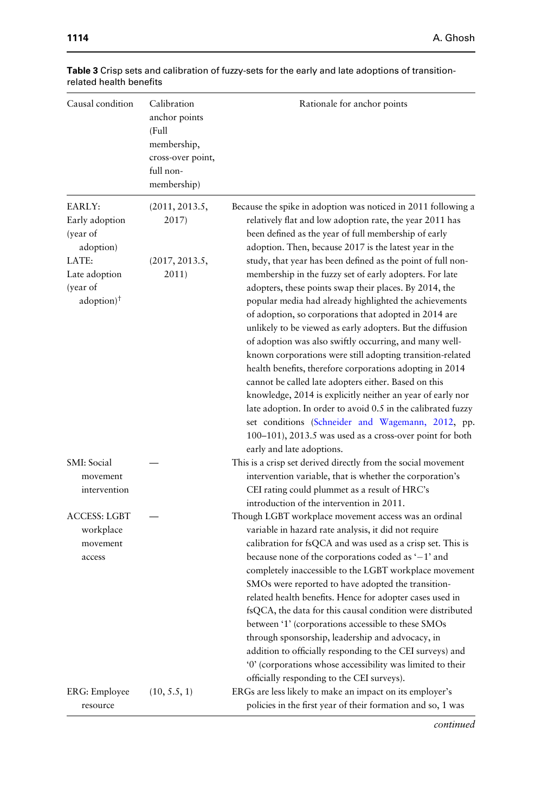| 1114 | A. Ghosh |
|------|----------|
|------|----------|

| Causal condition                                                                                                    | Calibration<br>anchor points<br>(Full<br>membership,<br>cross-over point,<br>full non-<br>membership) | Rationale for anchor points                                                                                                                                                                                                                                                                                                                                                                                                                                                                                                                                                                                                                                                                                                                                                                                                                                                                                                                                                                                                                                                                                                             |
|---------------------------------------------------------------------------------------------------------------------|-------------------------------------------------------------------------------------------------------|-----------------------------------------------------------------------------------------------------------------------------------------------------------------------------------------------------------------------------------------------------------------------------------------------------------------------------------------------------------------------------------------------------------------------------------------------------------------------------------------------------------------------------------------------------------------------------------------------------------------------------------------------------------------------------------------------------------------------------------------------------------------------------------------------------------------------------------------------------------------------------------------------------------------------------------------------------------------------------------------------------------------------------------------------------------------------------------------------------------------------------------------|
| EARLY:<br>Early adoption<br>(year of<br>adoption)<br>LATE:<br>Late adoption<br>(year of<br>$adoption)$ <sup>†</sup> | (2011, 2013.5,<br>2017)<br>(2017, 2013.5,<br>2011)                                                    | Because the spike in adoption was noticed in 2011 following a<br>relatively flat and low adoption rate, the year 2011 has<br>been defined as the year of full membership of early<br>adoption. Then, because 2017 is the latest year in the<br>study, that year has been defined as the point of full non-<br>membership in the fuzzy set of early adopters. For late<br>adopters, these points swap their places. By 2014, the<br>popular media had already highlighted the achievements<br>of adoption, so corporations that adopted in 2014 are<br>unlikely to be viewed as early adopters. But the diffusion<br>of adoption was also swiftly occurring, and many well-<br>known corporations were still adopting transition-related<br>health benefits, therefore corporations adopting in 2014<br>cannot be called late adopters either. Based on this<br>knowledge, 2014 is explicitly neither an year of early nor<br>late adoption. In order to avoid 0.5 in the calibrated fuzzy<br>set conditions (Schneider and Wagemann, 2012, pp.<br>100-101), 2013.5 was used as a cross-over point for both<br>early and late adoptions. |
| SMI: Social<br>movement<br>intervention                                                                             |                                                                                                       | This is a crisp set derived directly from the social movement<br>intervention variable, that is whether the corporation's<br>CEI rating could plummet as a result of HRC's<br>introduction of the intervention in 2011.                                                                                                                                                                                                                                                                                                                                                                                                                                                                                                                                                                                                                                                                                                                                                                                                                                                                                                                 |
| <b>ACCESS: LGBT</b><br>workplace<br>movement<br>access                                                              |                                                                                                       | Though LGBT workplace movement access was an ordinal<br>variable in hazard rate analysis, it did not require<br>calibration for fsQCA and was used as a crisp set. This is<br>because none of the corporations coded as $-1$ and<br>completely inaccessible to the LGBT workplace movement<br>SMOs were reported to have adopted the transition-<br>related health benefits. Hence for adopter cases used in<br>fsQCA, the data for this causal condition were distributed<br>between '1' (corporations accessible to these SMOs<br>through sponsorship, leadership and advocacy, in<br>addition to officially responding to the CEI surveys) and<br>'0' (corporations whose accessibility was limited to their<br>officially responding to the CEI surveys).                                                                                                                                                                                                                                                                                                                                                                           |
| ERG: Employee<br>resource                                                                                           | (10, 5.5, 1)                                                                                          | ERGs are less likely to make an impact on its employer's<br>policies in the first year of their formation and so, 1 was                                                                                                                                                                                                                                                                                                                                                                                                                                                                                                                                                                                                                                                                                                                                                                                                                                                                                                                                                                                                                 |

# Table 3 Crisp sets and calibration of fuzzy-sets for the early and late adoptions of transitionrelated health benefits

*continued*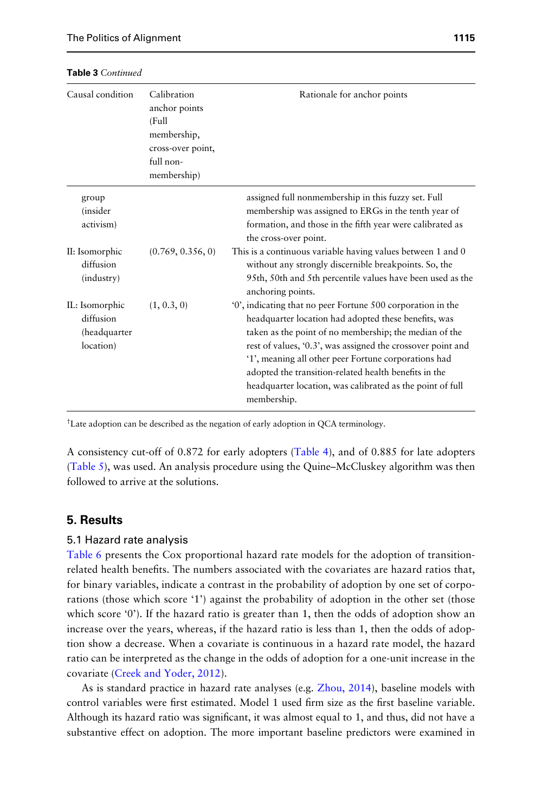| Causal condition                                                     | Calibration<br>anchor points<br>(Full<br>membership,<br>cross-over point,<br>full non-<br>membership) | Rationale for anchor points                                                                                                                                                                                                                                                                                                                                                |
|----------------------------------------------------------------------|-------------------------------------------------------------------------------------------------------|----------------------------------------------------------------------------------------------------------------------------------------------------------------------------------------------------------------------------------------------------------------------------------------------------------------------------------------------------------------------------|
| group<br><i>(insider</i><br>activism)<br>II: Isomorphic<br>diffusion | (0.769, 0.356, 0)                                                                                     | assigned full nonmembership in this fuzzy set. Full<br>membership was assigned to ERGs in the tenth year of<br>formation, and those in the fifth year were calibrated as<br>the cross-over point.<br>This is a continuous variable having values between 1 and 0<br>without any strongly discernible breakpoints. So, the                                                  |
| (industry)<br>IL: Isomorphic                                         | (1, 0.3, 0)                                                                                           | 95th, 50th and 5th percentile values have been used as the<br>anchoring points.<br>'0', indicating that no peer Fortune 500 corporation in the                                                                                                                                                                                                                             |
| diffusion<br>(headquarter<br>location)                               |                                                                                                       | headquarter location had adopted these benefits, was<br>taken as the point of no membership; the median of the<br>rest of values, '0.3', was assigned the crossover point and<br>'1', meaning all other peer Fortune corporations had<br>adopted the transition-related health benefits in the<br>headquarter location, was calibrated as the point of full<br>membership. |

# Table 3 *Continued*

† Late adoption can be described as the negation of early adoption in QCA terminology.

A consistency cut-off of 0.872 for early adopters (Table 4), and of 0.885 for late adopters (Table 5), was used. An analysis procedure using the Quine–McCluskey algorithm was then followed to arrive at the solutions.

# 5. Results

#### 5.1 Hazard rate analysis

Table 6 presents the Cox proportional hazard rate models for the adoption of transitionrelated health benefits. The numbers associated with the covariates are hazard ratios that, for binary variables, indicate a contrast in the probability of adoption by one set of corporations (those which score '1') against the probability of adoption in the other set (those which score '0'). If the hazard ratio is greater than 1, then the odds of adoption show an increase over the years, whereas, if the hazard ratio is less than 1, then the odds of adoption show a decrease. When a covariate is continuous in a hazard rate model, the hazard ratio can be interpreted as the change in the odds of adoption for a one-unit increase in the covariate (Creek and Yoder, 2012).

As is standard practice in hazard rate analyses (e.g. Zhou, 2014), baseline models with control variables were first estimated. Model 1 used firm size as the first baseline variable. Although its hazard ratio was significant, it was almost equal to 1, and thus, did not have a substantive effect on adoption. The more important baseline predictors were examined in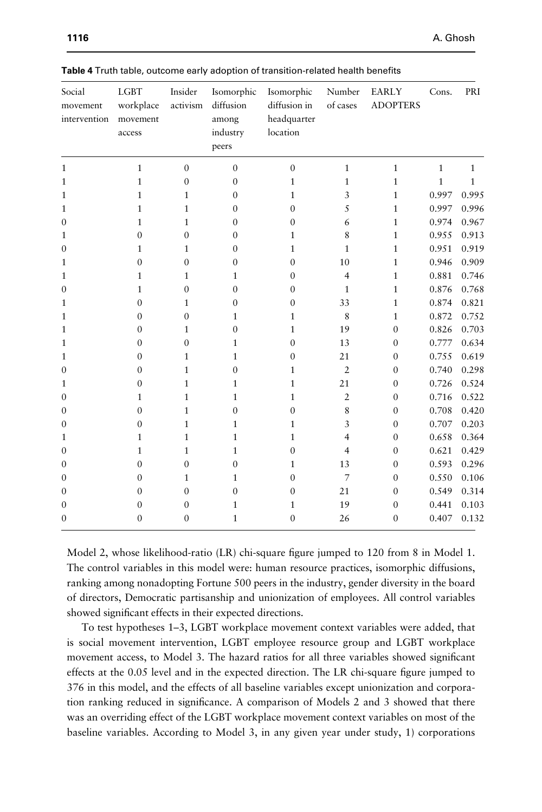| Social<br>movement<br>intervention | <b>LGBT</b><br>workplace<br>movement<br>access | Insider<br>activism | Isomorphic<br>diffusion<br>among<br>industry<br>peers | Isomorphic<br>diffusion in<br>headquarter<br>location | Number<br>of cases | EARLY<br><b>ADOPTERS</b> | Cons.        | PRI          |
|------------------------------------|------------------------------------------------|---------------------|-------------------------------------------------------|-------------------------------------------------------|--------------------|--------------------------|--------------|--------------|
| $\mathbf{1}$                       | $\mathbf{1}$                                   | $\mathbf{0}$        | $\Omega$                                              | $\mathbf{0}$                                          | $\mathbf{1}$       | $\mathbf{1}$             | $\mathbf{1}$ | $\mathbf{1}$ |
| $\mathbf{1}$                       | $\mathbf{1}$                                   | $\mathbf{0}$        | $\mathbf{0}$                                          | $\mathbf{1}$                                          | $\mathbf{1}$       | $\mathbf{1}$             | $\mathbf 1$  | $\mathbf{1}$ |
| $\mathbf{1}$                       | $\mathbf{1}$                                   | 1                   | $\Omega$                                              | $\mathbf{1}$                                          | 3                  | $\mathbf{1}$             | 0.997        | 0.995        |
| $\mathbf{1}$                       | $\mathbf{1}$                                   | 1                   | $\Omega$                                              | $\theta$                                              | 5                  | $\mathbf{1}$             | 0.997        | 0.996        |
| $\mathbf{0}$                       | $\mathbf{1}$                                   | $\mathbf{1}$        | 0                                                     | $\mathbf{0}$                                          | 6                  | $\mathbf{1}$             | 0.974        | 0.967        |
| 1                                  | $\overline{0}$                                 | $\mathbf{0}$        | $\mathbf{0}$                                          | 1                                                     | 8                  | $\mathbf{1}$             | 0.955        | 0.913        |
| $\mathbf{0}$                       | $\mathbf{1}$                                   | $\mathbf{1}$        | $\Omega$                                              | $\mathbf{1}$                                          | 1                  | $\mathbf{1}$             | 0.951        | 0.919        |
| 1                                  | $\mathbf{0}$                                   | $\mathbf{0}$        | 0                                                     | $\mathbf{0}$                                          | 10                 | $\mathbf{1}$             | 0.946        | 0.909        |
| 1                                  | $\mathbf{1}$                                   | 1                   | 1                                                     | $\mathbf{0}$                                          | $\overline{4}$     | $\mathbf{1}$             | 0.881        | 0.746        |
| $\mathbf{0}$                       | $\mathbf{1}$                                   | $\mathbf{0}$        | $\mathbf{0}$                                          | $\mathbf{0}$                                          | $\mathbf{1}$       | $\mathbf{1}$             | 0.876        | 0.768        |
| $\mathbf{1}$                       | $\boldsymbol{0}$                               | $\mathbf{1}$        | $\Omega$                                              | $\mathbf{0}$                                          | 33                 | $\mathbf{1}$             | 0.874        | 0.821        |
| 1                                  | $\mathbf{0}$                                   | $\mathbf{0}$        | 1                                                     | 1                                                     | 8                  | $\mathbf{1}$             | 0.872        | 0.752        |
| $\mathbf{1}$                       | $\mathbf{0}$                                   | 1                   | $\Omega$                                              | 1                                                     | 19                 | $\mathbf{0}$             | 0.826        | 0.703        |
| $\mathbf{1}$                       | $\mathbf{0}$                                   | $\mathbf{0}$        | 1                                                     | $\mathbf{0}$                                          | 13                 | $\mathbf{0}$             | 0.777        | 0.634        |
| $\mathbf{1}$                       | $\mathbf{0}$                                   | $\mathbf{1}$        | 1                                                     | $\mathbf{0}$                                          | 21                 | $\mathbf{0}$             | 0.755        | 0.619        |
| $\mathbf{0}$                       | $\boldsymbol{0}$                               | $\mathbf{1}$        | 0                                                     | 1                                                     | $\overline{2}$     | $\boldsymbol{0}$         | 0.740        | 0.298        |
| 1                                  | $\mathbf{0}$                                   | $\mathbf{1}$        | 1                                                     | $\mathbf{1}$                                          | 21                 | $\mathbf{0}$             | 0.726        | 0.524        |
| $\Omega$                           | $\mathbf{1}$                                   | 1                   | 1                                                     | $\mathbf{1}$                                          | $\overline{2}$     | $\mathbf{0}$             | 0.716        | 0.522        |
| $\mathbf{0}$                       | $\mathbf{0}$                                   | $\mathbf{1}$        | 0                                                     | $\mathbf{0}$                                          | 8                  | $\mathbf{0}$             | 0.708        | 0.420        |
| $\mathbf{0}$                       | $\mathbf{0}$                                   | $\mathbf{1}$        | 1                                                     | $\mathbf{1}$                                          | 3                  | $\mathbf{0}$             | 0.707        | 0.203        |
| 1                                  | $\mathbf{1}$                                   | 1                   | 1                                                     | 1                                                     | 4                  | $\Omega$                 | 0.658        | 0.364        |
| $\mathbf{0}$                       | $\mathbf{1}$                                   | 1                   | $\mathbf{1}$                                          | $\mathbf{0}$                                          | $\overline{4}$     | $\mathbf{0}$             | 0.621        | 0.429        |
| $\mathbf{0}$                       | $\mathbf{0}$                                   | $\mathbf{0}$        | $\mathbf{0}$                                          | 1                                                     | 13                 | $\mathbf{0}$             | 0.593        | 0.296        |
| $\mathbf{0}$                       | $\mathbf{0}$                                   | $\mathbf{1}$        | 1                                                     | $\mathbf{0}$                                          | 7                  | $\mathbf{0}$             | 0.550        | 0.106        |
| $\Omega$                           | $\mathbf{0}$                                   | $\mathbf{0}$        | $\mathbf{0}$                                          | $\mathbf{0}$                                          | 21                 | $\mathbf{0}$             | 0.549        | 0.314        |
| $\mathbf{0}$                       | $\mathbf{0}$                                   | $\mathbf{0}$        | 1                                                     | 1                                                     | 19                 | $\mathbf{0}$             | 0.441        | 0.103        |
| $\mathbf{0}$                       | $\mathbf{0}$                                   | $\mathbf{0}$        | $\mathbf{1}$                                          | $\mathbf{0}$                                          | 26                 | $\mathbf{0}$             | 0.407        | 0.132        |

Table 4 Truth table, outcome early adoption of transition-related health benefits

Model 2, whose likelihood-ratio (LR) chi-square figure jumped to 120 from 8 in Model 1. The control variables in this model were: human resource practices, isomorphic diffusions, ranking among nonadopting Fortune 500 peers in the industry, gender diversity in the board of directors, Democratic partisanship and unionization of employees. All control variables showed significant effects in their expected directions.

To test hypotheses 1–3, LGBT workplace movement context variables were added, that is social movement intervention, LGBT employee resource group and LGBT workplace movement access, to Model 3. The hazard ratios for all three variables showed significant effects at the 0.05 level and in the expected direction. The LR chi-square figure jumped to 376 in this model, and the effects of all baseline variables except unionization and corporation ranking reduced in significance. A comparison of Models 2 and 3 showed that there was an overriding effect of the LGBT workplace movement context variables on most of the baseline variables. According to Model 3, in any given year under study, 1) corporations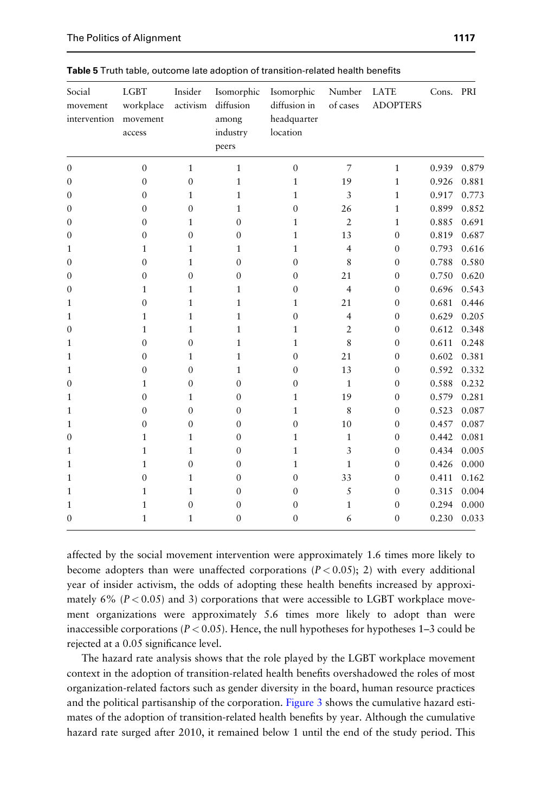| Social<br>movement<br>intervention | <b>LGBT</b><br>workplace<br>movement<br>access | Insider<br>activism | Isomorphic<br>diffusion<br>among<br>industry<br>peers | Isomorphic<br>diffusion in<br>headquarter<br>location | Number<br>of cases | LATE<br><b>ADOPTERS</b> | Cons. PRI |       |
|------------------------------------|------------------------------------------------|---------------------|-------------------------------------------------------|-------------------------------------------------------|--------------------|-------------------------|-----------|-------|
| $\boldsymbol{0}$                   | $\boldsymbol{0}$                               | $\mathbf{1}$        | $\mathbf{1}$                                          | $\mathbf{0}$                                          | $\overline{7}$     | $1\,$                   | 0.939     | 0.879 |
| $\mathbf{0}$                       | $\mathbf{0}$                                   | $\mathbf{0}$        | $\mathbf{1}$                                          | $\mathbf{1}$                                          | 19                 | $\mathbf{1}$            | 0.926     | 0.881 |
| $\mathbf{0}$                       | $\mathbf{0}$                                   | 1                   | 1                                                     | $\mathbf{1}$                                          | 3                  | $\mathbf{1}$            | 0.917     | 0.773 |
| 0                                  | 0                                              | $\theta$            | 1                                                     | $\mathbf{0}$                                          | 26                 | $\mathbf{1}$            | 0.899     | 0.852 |
| $\Omega$                           | $\mathbf{0}$                                   | $\mathbf{1}$        | $\theta$                                              | 1                                                     | $\overline{2}$     | $\mathbf{1}$            | 0.885     | 0.691 |
| $\mathbf{0}$                       | $\overline{0}$                                 | $\mathbf{0}$        | $\theta$                                              | $\mathbf{1}$                                          | 13                 | $\mathbf{0}$            | 0.819     | 0.687 |
| 1                                  | $\mathbf{1}$                                   | 1                   | 1                                                     | $\mathbf{1}$                                          | $\overline{4}$     | $\mathbf{0}$            | 0.793     | 0.616 |
| $\Omega$                           | $\mathbf{0}$                                   | 1                   | $\Omega$                                              | $\Omega$                                              | 8                  | $\mathbf{0}$            | 0.788     | 0.580 |
| $\Omega$                           | $\mathbf{0}$                                   | $\mathbf{0}$        | $\Omega$                                              | $\mathbf{0}$                                          | 21                 | $\boldsymbol{0}$        | 0.750     | 0.620 |
| 0                                  | $\mathbf{1}$                                   | $\mathbf{1}$        | 1                                                     | $\mathbf{0}$                                          | $\overline{4}$     | $\mathbf{0}$            | 0.696     | 0.543 |
| 1                                  | $\boldsymbol{0}$                               | 1                   | 1                                                     | $\mathbf{1}$                                          | 21                 | $\mathbf{0}$            | 0.681     | 0.446 |
| 1                                  | $\mathbf{1}$                                   | $\mathbf{1}$        | 1                                                     | $\mathbf{0}$                                          | $\overline{4}$     | $\mathbf{0}$            | 0.629     | 0.205 |
| $\Omega$                           | $\mathbf{1}$                                   | $\mathbf{1}$        | 1                                                     | 1                                                     | $\overline{2}$     | $\Omega$                | 0.612     | 0.348 |
| $\mathbf{1}$                       | $\overline{0}$                                 | $\mathbf{0}$        | 1                                                     | $\mathbf{1}$                                          | 8                  | $\mathbf{0}$            | 0.611     | 0.248 |
| 1                                  | $\mathbf{0}$                                   | $\mathbf{1}$        | 1                                                     | $\mathbf{0}$                                          | 21                 | $\mathbf{0}$            | 0.602     | 0.381 |
| 1                                  | $\mathbf{0}$                                   | $\mathbf{0}$        | 1                                                     | $\Omega$                                              | 13                 | $\mathbf{0}$            | 0.592     | 0.332 |
| 0                                  | $\mathbf{1}$                                   | $\mathbf{0}$        | $\theta$                                              | $\mathbf{0}$                                          | $\mathbf{1}$       | $\mathbf{0}$            | 0.588     | 0.232 |
| 1                                  | $\mathbf{0}$                                   | 1                   | $\Omega$                                              | $\mathbf{1}$                                          | 19                 | $\mathbf{0}$            | 0.579     | 0.281 |
| 1                                  | $\mathbf{0}$                                   | $\theta$            | $\theta$                                              | $\mathbf{1}$                                          | 8                  | $\mathbf{0}$            | 0.523     | 0.087 |
| 1                                  | $\mathbf{0}$                                   | $\mathbf{0}$        | $\Omega$                                              | $\mathbf{0}$                                          | 10                 | $\mathbf{0}$            | 0.457     | 0.087 |
| $\Omega$                           | 1                                              | 1                   | $\Omega$                                              | 1                                                     | 1                  | $\Omega$                | 0.442     | 0.081 |
| 1                                  | $\mathbf{1}$                                   | $\mathbf{1}$        | $\Omega$                                              | 1                                                     | 3                  | $\mathbf{0}$            | 0.434     | 0.005 |
| 1                                  | $\mathbf{1}$                                   | $\mathbf{0}$        | $\Omega$                                              | 1                                                     | $\mathbf{1}$       | $\mathbf{0}$            | 0.426     | 0.000 |
| $\mathbf{1}$                       | $\mathbf{0}$                                   | $\mathbf{1}$        | $\Omega$                                              | $\Omega$                                              | 33                 | $\mathbf{0}$            | 0.411     | 0.162 |
| 1                                  | $\mathbf{1}$                                   | $\mathbf{1}$        | $\Omega$                                              | $\Omega$                                              | 5                  | $\mathbf{0}$            | 0.315     | 0.004 |
| 1                                  | $\mathbf{1}$                                   | $\mathbf{0}$        | 0                                                     | $\mathbf{0}$                                          | $\mathbf{1}$       | $\mathbf{0}$            | 0.294     | 0.000 |
| $\mathbf{0}$                       | $\mathbf{1}$                                   | $\mathbf{1}$        | $\Omega$                                              | $\mathbf{0}$                                          | 6                  | $\mathbf{0}$            | 0.230     | 0.033 |

Table 5 Truth table, outcome late adoption of transition-related health benefits

affected by the social movement intervention were approximately 1.6 times more likely to become adopters than were unaffected corporations  $(P < 0.05)$ ; 2) with every additional year of insider activism, the odds of adopting these health benefits increased by approximately 6%  $(P < 0.05)$  and 3) corporations that were accessible to LGBT workplace movement organizations were approximately 5.6 times more likely to adopt than were inaccessible corporations ( $P < 0.05$ ). Hence, the null hypotheses for hypotheses 1–3 could be rejected at a 0.05 significance level.

The hazard rate analysis shows that the role played by the LGBT workplace movement context in the adoption of transition-related health benefits overshadowed the roles of most organization-related factors such as gender diversity in the board, human resource practices and the political partisanship of the corporation. Figure 3 shows the cumulative hazard estimates of the adoption of transition-related health benefits by year. Although the cumulative hazard rate surged after 2010, it remained below 1 until the end of the study period. This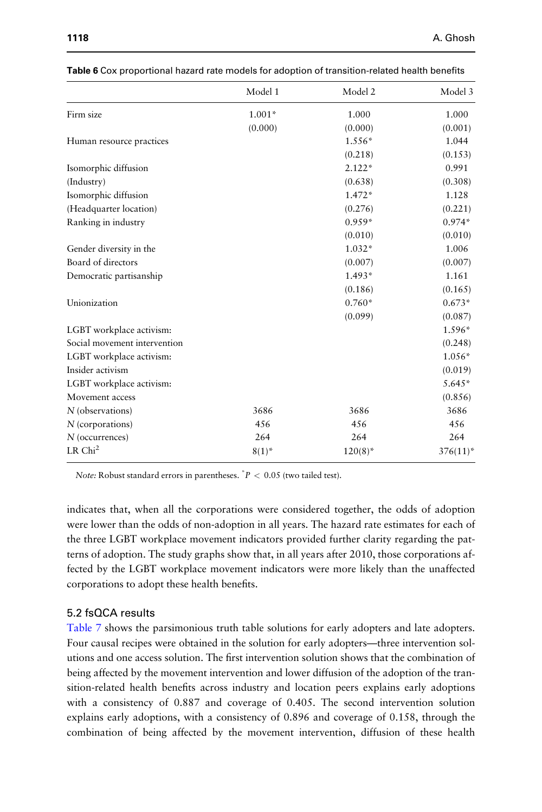|                              | Model 1    | Model 2    | Model 3     |
|------------------------------|------------|------------|-------------|
| Firm size                    | $1.001*$   | 1.000      | 1.000       |
|                              | (0.000)    | (0.000)    | (0.001)     |
| Human resource practices     |            | $1.556*$   | 1.044       |
|                              |            | (0.218)    | (0.153)     |
| Isomorphic diffusion         |            | $2.122*$   | 0.991       |
| (Industry)                   |            | (0.638)    | (0.308)     |
| Isomorphic diffusion         |            | $1.472*$   | 1.128       |
| (Headquarter location)       |            | (0.276)    | (0.221)     |
| Ranking in industry          |            | $0.959*$   | $0.974*$    |
|                              |            | (0.010)    | (0.010)     |
| Gender diversity in the      |            | $1.032*$   | 1.006       |
| Board of directors           |            | (0.007)    | (0.007)     |
| Democratic partisanship      |            | $1.493*$   | 1.161       |
|                              |            | (0.186)    | (0.165)     |
| Unionization                 |            | $0.760*$   | $0.673*$    |
|                              |            | (0.099)    | (0.087)     |
| LGBT workplace activism:     |            |            | 1.596*      |
| Social movement intervention |            |            | (0.248)     |
| LGBT workplace activism:     |            |            | $1.056*$    |
| Insider activism             |            |            | (0.019)     |
| LGBT workplace activism:     |            |            | 5.645*      |
| Movement access              |            |            | (0.856)     |
| N (observations)             | 3686       | 3686       | 3686        |
| $N$ (corporations)           | 456        | 456        | 456         |
| $N$ (occurrences)            | 264        | 264        | 264         |
| LR Chi <sup>2</sup>          | $8(1)^{*}$ | $120(8)^*$ | $376(11)^*$ |

|  |  | Table 6 Cox proportional hazard rate models for adoption of transition-related health benefits |
|--|--|------------------------------------------------------------------------------------------------|
|--|--|------------------------------------------------------------------------------------------------|

*Note:* Robust standard errors in parentheses. \* *P* < 0.05 (two tailed test).

indicates that, when all the corporations were considered together, the odds of adoption were lower than the odds of non-adoption in all years. The hazard rate estimates for each of the three LGBT workplace movement indicators provided further clarity regarding the patterns of adoption. The study graphs show that, in all years after 2010, those corporations affected by the LGBT workplace movement indicators were more likely than the unaffected corporations to adopt these health benefits.

## 5.2 fsQCA results

Table 7 shows the parsimonious truth table solutions for early adopters and late adopters. Four causal recipes were obtained in the solution for early adopters—three intervention solutions and one access solution. The first intervention solution shows that the combination of being affected by the movement intervention and lower diffusion of the adoption of the transition-related health benefits across industry and location peers explains early adoptions with a consistency of 0.887 and coverage of 0.405. The second intervention solution explains early adoptions, with a consistency of 0.896 and coverage of 0.158, through the combination of being affected by the movement intervention, diffusion of these health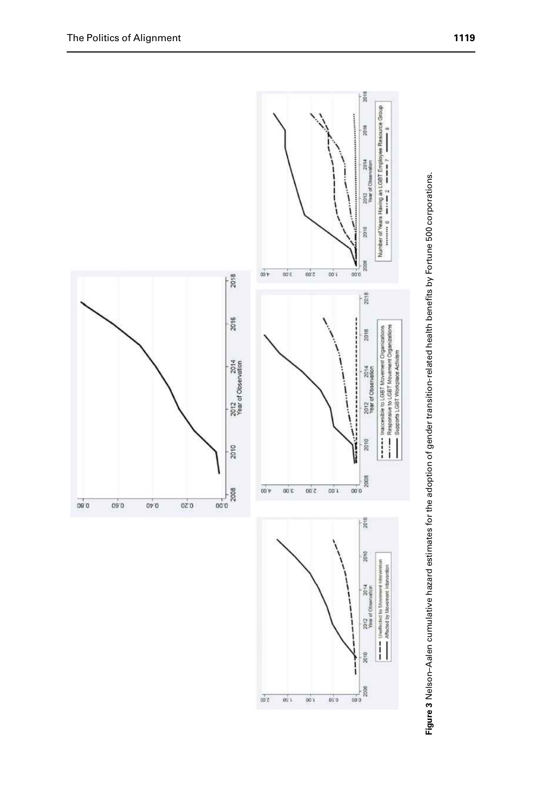

 $00<sup>2</sup>$  $0\pm1$  $001$  $0\%$  0



2010

2008  $\overline{\omega}$ o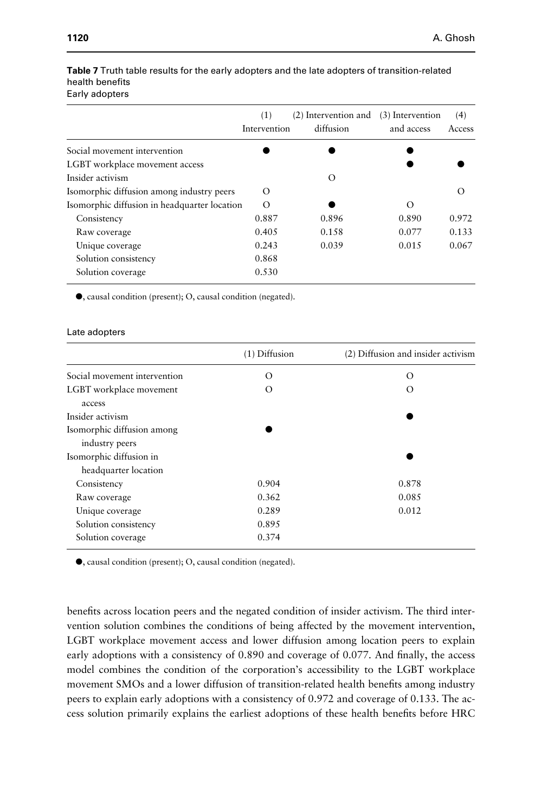| (1)                                                      | (2) Intervention and<br>diffusion | (3) Intervention<br>and access | (4)<br>Access |
|----------------------------------------------------------|-----------------------------------|--------------------------------|---------------|
|                                                          |                                   |                                |               |
|                                                          |                                   |                                |               |
|                                                          | O                                 |                                |               |
| $\circ$                                                  |                                   |                                |               |
| Isomorphic diffusion in headquarter location<br>$\Omega$ |                                   | $\Omega$                       |               |
| 0.887                                                    | 0.896                             | 0.890                          | 0.972         |
| 0.405                                                    | 0.158                             | 0.077                          | 0.133         |
| 0.243                                                    | 0.039                             | 0.015                          | 0.067         |
| 0.868                                                    |                                   |                                |               |
| 0.530                                                    |                                   |                                |               |
|                                                          |                                   | Intervention                   |               |

#### Table 7 Truth table results for the early adopters and the late adopters of transition-related health benefits Early adopters

 $\bullet$ , causal condition (present); O, causal condition (negated).

#### Late adopters

|                              | (1) Diffusion | (2) Diffusion and insider activism |
|------------------------------|---------------|------------------------------------|
| Social movement intervention | $\Omega$      | $\Omega$                           |
| LGBT workplace movement      | $\Omega$      | $\Omega$                           |
| access                       |               |                                    |
| Insider activism             |               |                                    |
| Isomorphic diffusion among   |               |                                    |
| industry peers               |               |                                    |
| Isomorphic diffusion in      |               |                                    |
| headquarter location         |               |                                    |
| Consistency                  | 0.904         | 0.878                              |
| Raw coverage                 | 0.362         | 0.085                              |
| Unique coverage              | 0.289         | 0.012                              |
| Solution consistency         | 0.895         |                                    |
| Solution coverage            | 0.374         |                                    |

 $\bullet$ , causal condition (present); O, causal condition (negated).

benefits across location peers and the negated condition of insider activism. The third intervention solution combines the conditions of being affected by the movement intervention, LGBT workplace movement access and lower diffusion among location peers to explain early adoptions with a consistency of 0.890 and coverage of 0.077. And finally, the access model combines the condition of the corporation's accessibility to the LGBT workplace movement SMOs and a lower diffusion of transition-related health benefits among industry peers to explain early adoptions with a consistency of 0.972 and coverage of 0.133. The access solution primarily explains the earliest adoptions of these health benefits before HRC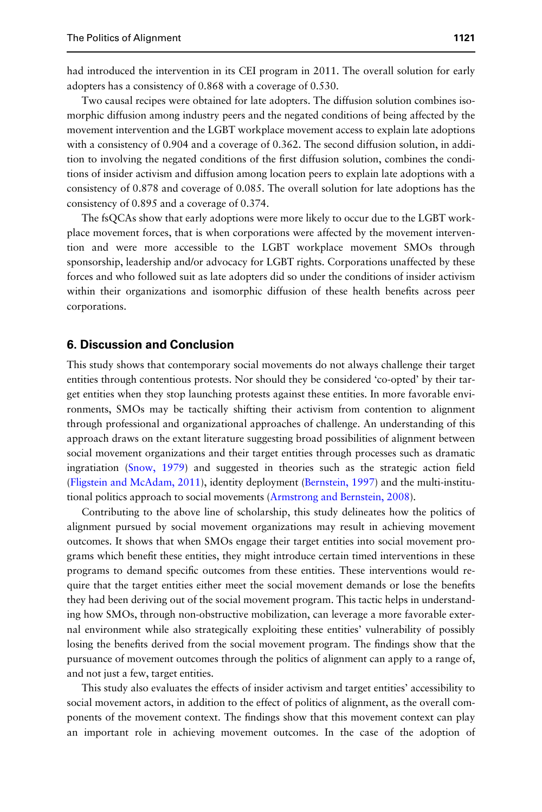had introduced the intervention in its CEI program in 2011. The overall solution for early adopters has a consistency of 0.868 with a coverage of 0.530.

Two causal recipes were obtained for late adopters. The diffusion solution combines isomorphic diffusion among industry peers and the negated conditions of being affected by the movement intervention and the LGBT workplace movement access to explain late adoptions with a consistency of 0.904 and a coverage of 0.362. The second diffusion solution, in addition to involving the negated conditions of the first diffusion solution, combines the conditions of insider activism and diffusion among location peers to explain late adoptions with a consistency of 0.878 and coverage of 0.085. The overall solution for late adoptions has the consistency of 0.895 and a coverage of 0.374.

The fsQCAs show that early adoptions were more likely to occur due to the LGBT workplace movement forces, that is when corporations were affected by the movement intervention and were more accessible to the LGBT workplace movement SMOs through sponsorship, leadership and/or advocacy for LGBT rights. Corporations unaffected by these forces and who followed suit as late adopters did so under the conditions of insider activism within their organizations and isomorphic diffusion of these health benefits across peer corporations.

# 6. Discussion and Conclusion

This study shows that contemporary social movements do not always challenge their target entities through contentious protests. Nor should they be considered 'co-opted' by their target entities when they stop launching protests against these entities. In more favorable environments, SMOs may be tactically shifting their activism from contention to alignment through professional and organizational approaches of challenge. An understanding of this approach draws on the extant literature suggesting broad possibilities of alignment between social movement organizations and their target entities through processes such as dramatic ingratiation (Snow, 1979) and suggested in theories such as the strategic action field (Fligstein and McAdam, 2011), identity deployment (Bernstein, 1997) and the multi-institutional politics approach to social movements (Armstrong and Bernstein, 2008).

Contributing to the above line of scholarship, this study delineates how the politics of alignment pursued by social movement organizations may result in achieving movement outcomes. It shows that when SMOs engage their target entities into social movement programs which benefit these entities, they might introduce certain timed interventions in these programs to demand specific outcomes from these entities. These interventions would require that the target entities either meet the social movement demands or lose the benefits they had been deriving out of the social movement program. This tactic helps in understanding how SMOs, through non-obstructive mobilization, can leverage a more favorable external environment while also strategically exploiting these entities' vulnerability of possibly losing the benefits derived from the social movement program. The findings show that the pursuance of movement outcomes through the politics of alignment can apply to a range of, and not just a few, target entities.

This study also evaluates the effects of insider activism and target entities' accessibility to social movement actors, in addition to the effect of politics of alignment, as the overall components of the movement context. The findings show that this movement context can play an important role in achieving movement outcomes. In the case of the adoption of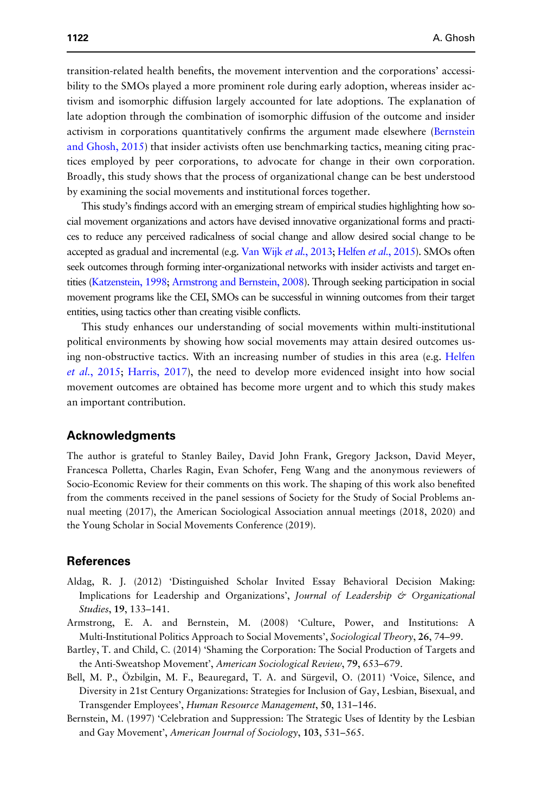transition-related health benefits, the movement intervention and the corporations' accessibility to the SMOs played a more prominent role during early adoption, whereas insider activism and isomorphic diffusion largely accounted for late adoptions. The explanation of late adoption through the combination of isomorphic diffusion of the outcome and insider activism in corporations quantitatively confirms the argument made elsewhere (Bernstein and Ghosh, 2015) that insider activists often use benchmarking tactics, meaning citing practices employed by peer corporations, to advocate for change in their own corporation. Broadly, this study shows that the process of organizational change can be best understood by examining the social movements and institutional forces together.

This study's findings accord with an emerging stream of empirical studies highlighting how social movement organizations and actors have devised innovative organizational forms and practices to reduce any perceived radicalness of social change and allow desired social change to be accepted as gradual and incremental (e.g. Van Wijk *et al.*, 2013; Helfen *et al.*, 2015). SMOs often seek outcomes through forming inter-organizational networks with insider activists and target entities (Katzenstein, 1998; Armstrong and Bernstein, 2008). Through seeking participation in social movement programs like the CEI, SMOs can be successful in winning outcomes from their target entities, using tactics other than creating visible conflicts.

This study enhances our understanding of social movements within multi-institutional political environments by showing how social movements may attain desired outcomes using non-obstructive tactics. With an increasing number of studies in this area (e.g. Helfen *et al.*, 2015; Harris, 2017), the need to develop more evidenced insight into how social movement outcomes are obtained has become more urgent and to which this study makes an important contribution.

# Acknowledgments

The author is grateful to Stanley Bailey, David John Frank, Gregory Jackson, David Meyer, Francesca Polletta, Charles Ragin, Evan Schofer, Feng Wang and the anonymous reviewers of Socio-Economic Review for their comments on this work. The shaping of this work also benefited from the comments received in the panel sessions of Society for the Study of Social Problems annual meeting (2017), the American Sociological Association annual meetings (2018, 2020) and the Young Scholar in Social Movements Conference (2019).

# References

- Aldag, R. J. (2012) 'Distinguished Scholar Invited Essay Behavioral Decision Making: Implications for Leadership and Organizations', *Journal of Leadership & Organizational Studies*, 19, 133–141.
- Armstrong, E. A. and Bernstein, M. (2008) 'Culture, Power, and Institutions: A Multi-Institutional Politics Approach to Social Movements', *Sociological Theory*, 26, 74–99.
- Bartley, T. and Child, C. (2014) 'Shaming the Corporation: The Social Production of Targets and the Anti-Sweatshop Movement', *American Sociological Review*, 79, 653–679.
- Bell, M. P., Özbilgin, M. F., Beauregard, T. A. and Sürgevil, O. (2011) 'Voice, Silence, and Diversity in 21st Century Organizations: Strategies for Inclusion of Gay, Lesbian, Bisexual, and Transgender Employees', *Human Resource Management*, 50, 131–146.
- Bernstein, M. (1997) 'Celebration and Suppression: The Strategic Uses of Identity by the Lesbian and Gay Movement', *American Journal of Sociology*, 103, 531–565.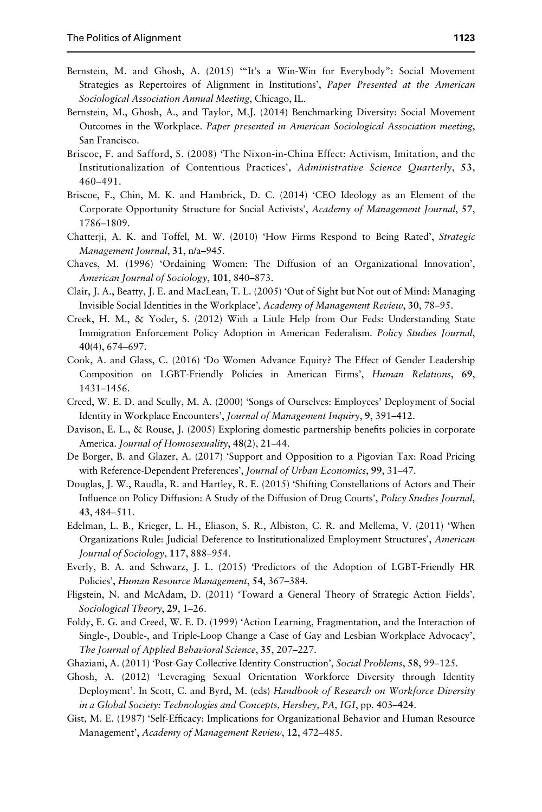- Bernstein, M. and Ghosh, A. (2015) '"It's a Win-Win for Everybody": Social Movement Strategies as Repertoires of Alignment in Institutions', *Paper Presented at the American Sociological Association Annual Meeting*, Chicago, IL.
- Bernstein, M., Ghosh, A., and Taylor, M.J. (2014) Benchmarking Diversity: Social Movement Outcomes in the Workplace. *Paper presented in American Sociological Association meeting*, San Francisco.
- Briscoe, F. and Safford, S. (2008) 'The Nixon-in-China Effect: Activism, Imitation, and the Institutionalization of Contentious Practices', *Administrative Science Quarterly*, 53, 460–491.
- Briscoe, F., Chin, M. K. and Hambrick, D. C. (2014) 'CEO Ideology as an Element of the Corporate Opportunity Structure for Social Activists', *Academy of Management Journal*, 57, 1786–1809.
- Chatterji, A. K. and Toffel, M. W. (2010) 'How Firms Respond to Being Rated', *Strategic Management Journal*, 31, n/a–945.
- Chaves, M. (1996) 'Ordaining Women: The Diffusion of an Organizational Innovation', *American Journal of Sociology*, 101, 840–873.
- Clair, J. A., Beatty, J. E. and MacLean, T. L. (2005) 'Out of Sight but Not out of Mind: Managing Invisible Social Identities in the Workplace', *Academy of Management Review*, 30, 78–95.
- Creek, H. M., & Yoder, S. (2012) With a Little Help from Our Feds: Understanding State Immigration Enforcement Policy Adoption in American Federalism. *Policy Studies Journal*, 40(4), 674–697.
- Cook, A. and Glass, C. (2016) 'Do Women Advance Equity? The Effect of Gender Leadership Composition on LGBT-Friendly Policies in American Firms', *Human Relations*, 69, 1431–1456.
- Creed, W. E. D. and Scully, M. A. (2000) 'Songs of Ourselves: Employees' Deployment of Social Identity in Workplace Encounters', *Journal of Management Inquiry*, 9, 391–412.
- Davison, E. L., & Rouse, J. (2005) Exploring domestic partnership benefits policies in corporate America. *Journal of Homosexuality*, 48(2), 21–44.
- De Borger, B. and Glazer, A. (2017) 'Support and Opposition to a Pigovian Tax: Road Pricing with Reference-Dependent Preferences', *Journal of Urban Economics*, 99, 31–47.
- Douglas, J. W., Raudla, R. and Hartley, R. E. (2015) 'Shifting Constellations of Actors and Their Influence on Policy Diffusion: A Study of the Diffusion of Drug Courts', *Policy Studies Journal*, 43, 484–511.
- Edelman, L. B., Krieger, L. H., Eliason, S. R., Albiston, C. R. and Mellema, V. (2011) 'When Organizations Rule: Judicial Deference to Institutionalized Employment Structures', *American Journal of Sociology*, 117, 888–954.
- Everly, B. A. and Schwarz, J. L. (2015) 'Predictors of the Adoption of LGBT-Friendly HR Policies', *Human Resource Management*, 54, 367–384.
- Fligstein, N. and McAdam, D. (2011) 'Toward a General Theory of Strategic Action Fields', *Sociological Theory*, 29, 1–26.
- Foldy, E. G. and Creed, W. E. D. (1999) 'Action Learning, Fragmentation, and the Interaction of Single-, Double-, and Triple-Loop Change a Case of Gay and Lesbian Workplace Advocacy', *The Journal of Applied Behavioral Science*, 35, 207–227.
- Ghaziani, A. (2011) 'Post-Gay Collective Identity Construction', *Social Problems*, 58, 99–125.
- Ghosh, A. (2012) 'Leveraging Sexual Orientation Workforce Diversity through Identity Deployment'. In Scott, C. and Byrd, M. (eds) *Handbook of Research on Workforce Diversity in a Global Society: Technologies and Concepts, Hershey, PA, IGI*, pp. 403–424.
- Gist, M. E. (1987) 'Self-Efficacy: Implications for Organizational Behavior and Human Resource Management', *Academy of Management Review*, 12, 472–485.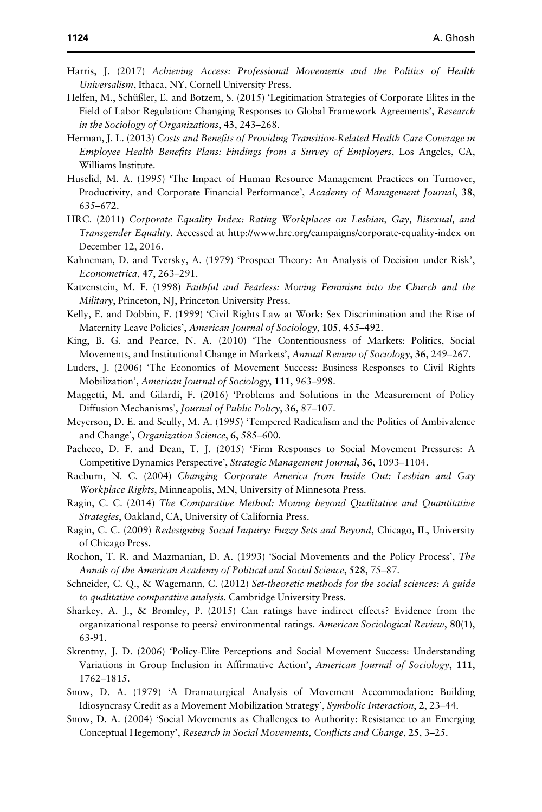- Harris, J. (2017) *Achieving Access: Professional Movements and the Politics of Health Universalism*, Ithaca, NY, Cornell University Press.
- Helfen, M., Schüßler, E. and Botzem, S. (2015) 'Legitimation Strategies of Corporate Elites in the Field of Labor Regulation: Changing Responses to Global Framework Agreements', *Research in the Sociology of Organizations*, 43, 243–268.
- Herman, J. L. (2013) *Costs and Benefits of Providing Transition-Related Health Care Coverage in Employee Health Benefits Plans: Findings from a Survey of Employers*, Los Angeles, CA, Williams Institute.
- Huselid, M. A. (1995) 'The Impact of Human Resource Management Practices on Turnover, Productivity, and Corporate Financial Performance', *Academy of Management Journal*, 38, 635–672.
- HRC. (2011) *Corporate Equality Index: Rating Workplaces on Lesbian, Gay, Bisexual, and Transgender Equality*. Accessed at http://www.hrc.org/campaigns/corporate-equality-index on December 12, 2016.
- Kahneman, D. and Tversky, A. (1979) 'Prospect Theory: An Analysis of Decision under Risk', *Econometrica*, 47, 263–291.
- Katzenstein, M. F. (1998) *Faithful and Fearless: Moving Feminism into the Church and the Military*, Princeton, NJ, Princeton University Press.
- Kelly, E. and Dobbin, F. (1999) 'Civil Rights Law at Work: Sex Discrimination and the Rise of Maternity Leave Policies', *American Journal of Sociology*, 105, 455–492.
- King, B. G. and Pearce, N. A. (2010) 'The Contentiousness of Markets: Politics, Social Movements, and Institutional Change in Markets', *Annual Review of Sociology*, 36, 249–267.
- Luders, J. (2006) 'The Economics of Movement Success: Business Responses to Civil Rights Mobilization', *American Journal of Sociology*, 111, 963–998.
- Maggetti, M. and Gilardi, F. (2016) 'Problems and Solutions in the Measurement of Policy Diffusion Mechanisms', *Journal of Public Policy*, 36, 87–107.
- Meyerson, D. E. and Scully, M. A. (1995) 'Tempered Radicalism and the Politics of Ambivalence and Change', *Organization Science*, 6, 585–600.
- Pacheco, D. F. and Dean, T. J. (2015) 'Firm Responses to Social Movement Pressures: A Competitive Dynamics Perspective', *Strategic Management Journal*, 36, 1093–1104.
- Raeburn, N. C. (2004) *Changing Corporate America from Inside Out: Lesbian and Gay Workplace Rights*, Minneapolis, MN, University of Minnesota Press.
- Ragin, C. C. (2014) *The Comparative Method: Moving beyond Qualitative and Quantitative Strategies*, Oakland, CA, University of California Press.
- Ragin, C. C. (2009) *Redesigning Social Inquiry: Fuzzy Sets and Beyond*, Chicago, IL, University of Chicago Press.
- Rochon, T. R. and Mazmanian, D. A. (1993) 'Social Movements and the Policy Process', *The Annals of the American Academy of Political and Social Science*, 528, 75–87.
- Schneider, C. Q., & Wagemann, C. (2012) *Set-theoretic methods for the social sciences: A guide to qualitative comparative analysis*. Cambridge University Press.
- Sharkey, A. J., & Bromley, P. (2015) Can ratings have indirect effects? Evidence from the organizational response to peers? environmental ratings. *American Sociological Review*, 80(1), 63-91.
- Skrentny, J. D. (2006) 'Policy-Elite Perceptions and Social Movement Success: Understanding Variations in Group Inclusion in Affirmative Action', *American Journal of Sociology*, 111, 1762–1815.
- Snow, D. A. (1979) 'A Dramaturgical Analysis of Movement Accommodation: Building Idiosyncrasy Credit as a Movement Mobilization Strategy', *Symbolic Interaction*, 2, 23–44.
- Snow, D. A. (2004) 'Social Movements as Challenges to Authority: Resistance to an Emerging Conceptual Hegemony', *Research in Social Movements, Conflicts and Change*, 25, 3–25.